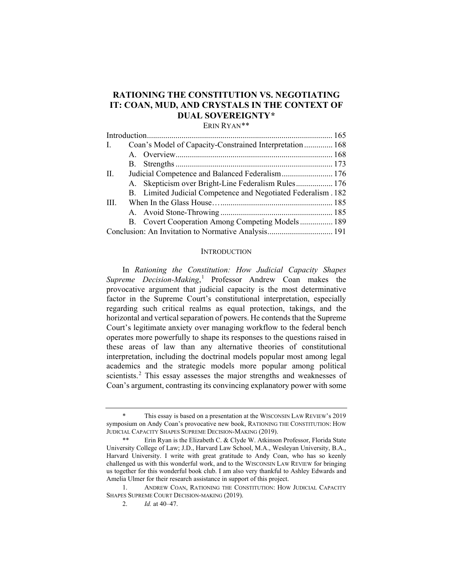# **RATIONING THE CONSTITUTION VS. NEGOTIATING IT: COAN, MUD, AND CRYSTALS IN THE CONTEXT OF DUAL SOVEREIGNTY[\\*](#page-0-0)**

ERIN RYAN[\\*\\*](#page-0-1)

| Coan's Model of Capacity-Constrained Interpretation 168<br>$\mathbf{I}$ . |
|---------------------------------------------------------------------------|
|                                                                           |
|                                                                           |
| П.<br>Judicial Competence and Balanced Federalism 176                     |
| A. Skepticism over Bright-Line Federalism Rules 176                       |
| B. Limited Judicial Competence and Negotiated Federalism. 182             |
| III.                                                                      |
|                                                                           |
| B. Covert Cooperation Among Competing Models 189                          |
|                                                                           |

#### <span id="page-0-4"></span>**INTRODUCTION**

In *Rationing the Constitution: How Judicial Capacity Shapes Supreme Decision-Making*, [1](#page-0-2) Professor Andrew Coan makes the provocative argument that judicial capacity is the most determinative factor in the Supreme Court's constitutional interpretation, especially regarding such critical realms as equal protection, takings, and the horizontal and vertical separation of powers. He contends that the Supreme Court's legitimate anxiety over managing workflow to the federal bench operates more powerfully to shape its responses to the questions raised in these areas of law than any alternative theories of constitutional interpretation, including the doctrinal models popular most among legal academics and the strategic models more popular among political scientists.<sup>[2](#page-0-3)</sup> This essay assesses the major strengths and weaknesses of Coan's argument, contrasting its convincing explanatory power with some

<span id="page-0-0"></span>This essay is based on a presentation at the WISCONSIN LAW REVIEW's 2019 symposium on Andy Coan's provocative new book, RATIONING THE CONSTITUTION: HOW JUDICIAL CAPACITY SHAPES SUPREME DECISION-MAKING (2019).

<span id="page-0-1"></span><sup>\*\*</sup> Erin Ryan is the Elizabeth C. & Clyde W. Atkinson Professor, Florida State University College of Law; J.D., Harvard Law School, M.A., Wesleyan University, B.A., Harvard University. I write with great gratitude to Andy Coan, who has so keenly challenged us with this wonderful work, and to the WISCONSIN LAW REVIEW for bringing us together for this wonderful book club. I am also very thankful to Ashley Edwards and Amelia Ulmer for their research assistance in support of this project.

<span id="page-0-3"></span><span id="page-0-2"></span><sup>1.</sup> ANDREW COAN, RATIONING THE CONSTITUTION: HOW JUDICIAL CAPACITY SHAPES SUPREME COURT DECISION-MAKING (2019).

<sup>2.</sup> *Id.* at 40–47.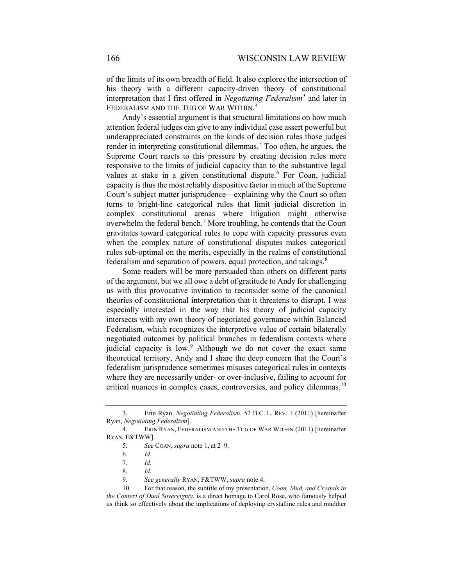<span id="page-1-9"></span>of the limits of its own breadth of field. It also explores the intersection of his theory with a different capacity-driven theory of constitutional interpretation that I first offered in *Negotiating Federalism*[3](#page-1-1) and later in FEDERALISM AND THE TUG OF WAR WITHIN. [4](#page-1-2)

<span id="page-1-0"></span>Andy's essential argument is that structural limitations on how much attention federal judges can give to any individual case assert powerful but underappreciated constraints on the kinds of decision rules those judges render in interpreting constitutional dilemmas.<sup>[5](#page-1-3)</sup> Too often, he argues, the Supreme Court reacts to this pressure by creating decision rules more responsive to the limits of judicial capacity than to the substantive legal values at stake in a given constitutional dispute.<sup>[6](#page-1-4)</sup> For Coan, judicial capacity is thus the most reliably dispositive factor in much of the Supreme Court's subject matter jurisprudence—explaining why the Court so often turns to bright-line categorical rules that limit judicial discretion in complex constitutional arenas where litigation might otherwise overwhelm the federal bench.<sup>[7](#page-1-5)</sup> More troubling, he contends that the Court gravitates toward categorical rules to cope with capacity pressures even when the complex nature of constitutional disputes makes categorical rules sub-optimal on the merits, especially in the realms of constitutional federalism and separation of powers, equal protection, and takings.<sup>[8](#page-1-6)</sup>

Some readers will be more persuaded than others on different parts of the argument, but we all owe a debt of gratitude to Andy for challenging us with this provocative invitation to reconsider some of the canonical theories of constitutional interpretation that it threatens to disrupt. I was especially interested in the way that his theory of judicial capacity intersects with my own theory of negotiated governance within Balanced Federalism, which recognizes the interpretive value of certain bilaterally negotiated outcomes by political branches in federalism contexts where judicial capacity is low.<sup>[9](#page-1-7)</sup> Although we do not cover the exact same theoretical territory, Andy and I share the deep concern that the Court's federalism jurisprudence sometimes misuses categorical rules in contexts where they are necessarily under- or over-inclusive, failing to account for critical nuances in complex cases, controversies, and policy dilemmas.<sup>[10](#page-1-8)</sup>

<span id="page-1-1"></span><sup>3.</sup> Erin Ryan, *Negotiating Federalism*, 52 B.C. L. REV. 1 (2011) [hereinafter Ryan, *Negotiating Federalism*].

<span id="page-1-4"></span><span id="page-1-3"></span><span id="page-1-2"></span><sup>4.</sup> ERIN RYAN, FEDERALISM AND THE TUG OF WAR WITHIN (2011) [hereinafter RYAN, F&TWW].

<sup>5.</sup> *See* COAN, *supra* note [1,](#page-0-4) at 2–9.

<sup>6.</sup> *Id.*

<sup>7.</sup> *Id.*

<sup>8.</sup> *Id.*

<sup>9.</sup> *See generally* RYAN, F&TWW, *supra* not[e 4.](#page-1-0)

<span id="page-1-8"></span><span id="page-1-7"></span><span id="page-1-6"></span><span id="page-1-5"></span><sup>10.</sup> For that reason, the subtitle of my presentation, *Coan, Mud, and Crystals in the Context of Dual Sovereignty*, is a direct homage to Carol Rose, who famously helped us think so effectively about the implications of deploying crystalline rules and muddier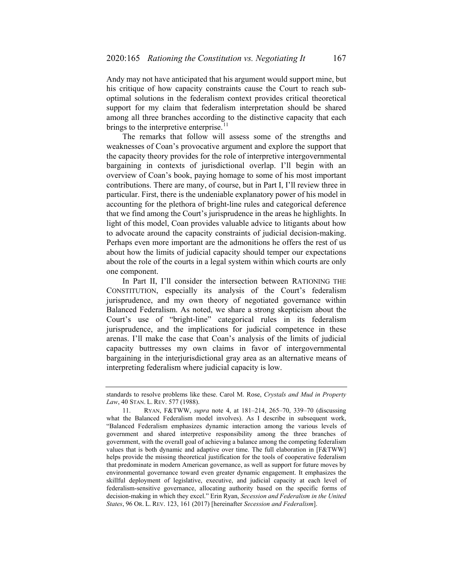Andy may not have anticipated that his argument would support mine, but his critique of how capacity constraints cause the Court to reach suboptimal solutions in the federalism context provides critical theoretical support for my claim that federalism interpretation should be shared among all three branches according to the distinctive capacity that each brings to the interpretive enterprise. $11$ 

<span id="page-2-1"></span>The remarks that follow will assess some of the strengths and weaknesses of Coan's provocative argument and explore the support that the capacity theory provides for the role of interpretive intergovernmental bargaining in contexts of jurisdictional overlap. I'll begin with an overview of Coan's book, paying homage to some of his most important contributions. There are many, of course, but in Part I, I'll review three in particular. First, there is the undeniable explanatory power of his model in accounting for the plethora of bright-line rules and categorical deference that we find among the Court's jurisprudence in the areas he highlights. In light of this model, Coan provides valuable advice to litigants about how to advocate around the capacity constraints of judicial decision-making. Perhaps even more important are the admonitions he offers the rest of us about how the limits of judicial capacity should temper our expectations about the role of the courts in a legal system within which courts are only one component.

In Part II, I'll consider the intersection between RATIONING THE CONSTITUTION, especially its analysis of the Court's federalism jurisprudence, and my own theory of negotiated governance within Balanced Federalism. As noted, we share a strong skepticism about the Court's use of "bright-line" categorical rules in its federalism jurisprudence, and the implications for judicial competence in these arenas. I'll make the case that Coan's analysis of the limits of judicial capacity buttresses my own claims in favor of intergovernmental bargaining in the interjurisdictional gray area as an alternative means of interpreting federalism where judicial capacity is low.

standards to resolve problems like these. Carol M. Rose, *Crystals and Mud in Property Law*, 40 STAN. L. REV. 577 (1988).

<span id="page-2-0"></span><sup>11.</sup> RYAN, F&TWW, *supra* note [4,](#page-1-0) at 181–214, 265–70, 339–70 (discussing what the Balanced Federalism model involves). As I describe in subsequent work, "Balanced Federalism emphasizes dynamic interaction among the various levels of government and shared interpretive responsibility among the three branches of government, with the overall goal of achieving a balance among the competing federalism values that is both dynamic and adaptive over time. The full elaboration in [F&TWW] helps provide the missing theoretical justification for the tools of cooperative federalism that predominate in modern American governance, as well as support for future moves by environmental governance toward even greater dynamic engagement. It emphasizes the skillful deployment of legislative, executive, and judicial capacity at each level of federalism-sensitive governance, allocating authority based on the specific forms of decision-making in which they excel." Erin Ryan, *Secession and Federalism in the United States*, 96 OR. L. REV. 123, 161 (2017) [hereinafter *Secession and Federalism*].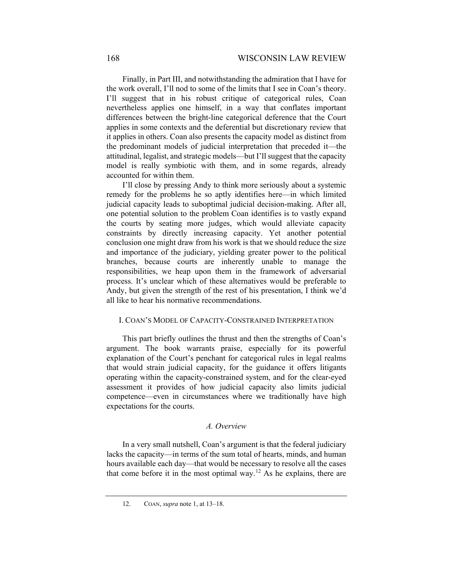Finally, in Part III, and notwithstanding the admiration that I have for the work overall, I'll nod to some of the limits that I see in Coan's theory. I'll suggest that in his robust critique of categorical rules, Coan nevertheless applies one himself, in a way that conflates important differences between the bright-line categorical deference that the Court applies in some contexts and the deferential but discretionary review that it applies in others. Coan also presents the capacity model as distinct from the predominant models of judicial interpretation that preceded it—the attitudinal, legalist, and strategic models—but I'll suggest that the capacity model is really symbiotic with them, and in some regards, already accounted for within them.

I'll close by pressing Andy to think more seriously about a systemic remedy for the problems he so aptly identifies here—in which limited judicial capacity leads to suboptimal judicial decision-making. After all, one potential solution to the problem Coan identifies is to vastly expand the courts by seating more judges, which would alleviate capacity constraints by directly increasing capacity. Yet another potential conclusion one might draw from his work is that we should reduce the size and importance of the judiciary, yielding greater power to the political branches, because courts are inherently unable to manage the responsibilities, we heap upon them in the framework of adversarial process. It's unclear which of these alternatives would be preferable to Andy, but given the strength of the rest of his presentation, I think we'd all like to hear his normative recommendations.

#### I. COAN'S MODEL OF CAPACITY-CONSTRAINED INTERPRETATION

This part briefly outlines the thrust and then the strengths of Coan's argument. The book warrants praise, especially for its powerful explanation of the Court's penchant for categorical rules in legal realms that would strain judicial capacity, for the guidance it offers litigants operating within the capacity-constrained system, and for the clear-eyed assessment it provides of how judicial capacity also limits judicial competence—even in circumstances where we traditionally have high expectations for the courts.

# *A. Overview*

<span id="page-3-0"></span>In a very small nutshell, Coan's argument is that the federal judiciary lacks the capacity—in terms of the sum total of hearts, minds, and human hours available each day—that would be necessary to resolve all the cases that come before it in the most optimal way.<sup>[12](#page-3-0)</sup> As he explains, there are

<sup>12.</sup> COAN, *supra* note [1,](#page-0-4) at 13–18.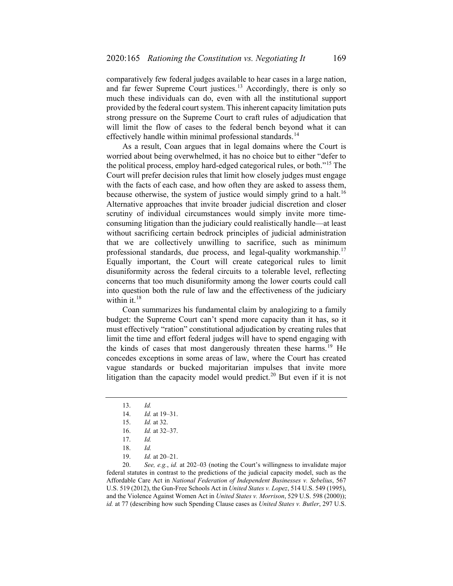comparatively few federal judges available to hear cases in a large nation, and far fewer Supreme Court justices.<sup>[13](#page-4-0)</sup> Accordingly, there is only so much these individuals can do, even with all the institutional support provided by the federal court system. This inherent capacity limitation puts strong pressure on the Supreme Court to craft rules of adjudication that will limit the flow of cases to the federal bench beyond what it can effectively handle within minimal professional standards.<sup>[14](#page-4-1)</sup>

As a result, Coan argues that in legal domains where the Court is worried about being overwhelmed, it has no choice but to either "defer to the political process, employ hard-edged categorical rules, or both."<sup>[15](#page-4-2)</sup> The Court will prefer decision rules that limit how closely judges must engage with the facts of each case, and how often they are asked to assess them, because otherwise, the system of justice would simply grind to a halt.<sup>[16](#page-4-3)</sup> Alternative approaches that invite broader judicial discretion and closer scrutiny of individual circumstances would simply invite more timeconsuming litigation than the judiciary could realistically handle—at least without sacrificing certain bedrock principles of judicial administration that we are collectively unwilling to sacrifice, such as minimum professional standards, due process, and legal-quality workmanship.<sup>[17](#page-4-4)</sup> Equally important, the Court will create categorical rules to limit disuniformity across the federal circuits to a tolerable level, reflecting concerns that too much disuniformity among the lower courts could call into question both the rule of law and the effectiveness of the judiciary within it.<sup>[18](#page-4-5)</sup>

Coan summarizes his fundamental claim by analogizing to a family budget: the Supreme Court can't spend more capacity than it has, so it must effectively "ration" constitutional adjudication by creating rules that limit the time and effort federal judges will have to spend engaging with the kinds of cases that most dangerously threaten these harms.<sup>[19](#page-4-6)</sup> He concedes exceptions in some areas of law, where the Court has created vague standards or bucked majoritarian impulses that invite more litigation than the capacity model would predict.<sup>[20](#page-4-7)</sup> But even if it is not

<span id="page-4-7"></span><span id="page-4-6"></span><span id="page-4-5"></span><span id="page-4-4"></span><span id="page-4-3"></span><span id="page-4-2"></span><span id="page-4-1"></span><span id="page-4-0"></span>20. *See, e.g.*, *id.* at 202–03 (noting the Court's willingness to invalidate major federal statutes in contrast to the predictions of the judicial capacity model, such as the Affordable Care Act in *National Federation of Independent Businesses v. Sebelius*, 567 U.S. 519 (2012), the Gun-Free Schools Act in *United States v. Lopez*, 514 U.S. 549 (1995), and the Violence Against Women Act in *United States v. Morrison*, 529 U.S. 598 (2000)); *id.* at 77 (describing how such Spending Clause cases as *United States v. Butler*, 297 U.S.

<sup>13.</sup> *Id.*

<sup>14.</sup> *Id.* at 19–31.

<sup>15.</sup> *Id.* at 32.

<sup>16.</sup> *Id.* at 32–37.

<sup>17.</sup> *Id.*

<sup>18.</sup> *Id.*

<sup>19.</sup> *Id.* at 20–21.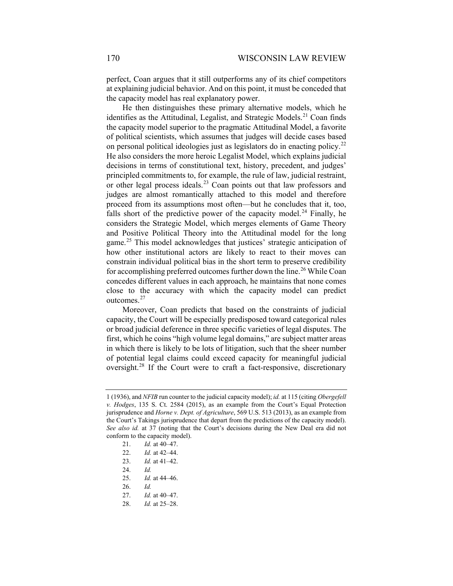perfect, Coan argues that it still outperforms any of its chief competitors at explaining judicial behavior. And on this point, it must be conceded that the capacity model has real explanatory power.

He then distinguishes these primary alternative models, which he identifies as the Attitudinal, Legalist, and Strategic Models.<sup>[21](#page-5-0)</sup> Coan finds the capacity model superior to the pragmatic Attitudinal Model, a favorite of political scientists, which assumes that judges will decide cases based on personal political ideologies just as legislators do in enacting policy.<sup>[22](#page-5-1)</sup> He also considers the more heroic Legalist Model, which explains judicial decisions in terms of constitutional text, history, precedent, and judges' principled commitments to, for example, the rule of law, judicial restraint, or other legal process ideals.<sup>[23](#page-5-2)</sup> Coan points out that law professors and judges are almost romantically attached to this model and therefore proceed from its assumptions most often—but he concludes that it, too, falls short of the predictive power of the capacity model.<sup>[24](#page-5-3)</sup> Finally, he considers the Strategic Model, which merges elements of Game Theory and Positive Political Theory into the Attitudinal model for the long game.<sup>[25](#page-5-4)</sup> This model acknowledges that justices' strategic anticipation of how other institutional actors are likely to react to their moves can constrain individual political bias in the short term to preserve credibility for accomplishing preferred outcomes further down the line.<sup>[26](#page-5-5)</sup> While Coan concedes different values in each approach, he maintains that none comes close to the accuracy with which the capacity model can predict outcomes.[27](#page-5-6)

Moreover, Coan predicts that based on the constraints of judicial capacity, the Court will be especially predisposed toward categorical rules or broad judicial deference in three specific varieties of legal disputes. The first, which he coins "high volume legal domains," are subject matter areas in which there is likely to be lots of litigation, such that the sheer number of potential legal claims could exceed capacity for meaningful judicial oversight.[28](#page-5-7) If the Court were to craft a fact-responsive, discretionary

- <span id="page-5-3"></span>24. *Id.*
- <span id="page-5-4"></span>25. *Id.* at 44–46.
- <span id="page-5-5"></span>26. *Id.*
- 27. *Id.* at 40–47.
- <span id="page-5-7"></span><span id="page-5-6"></span>28. *Id.* at 25–28.

<span id="page-5-1"></span><span id="page-5-0"></span><sup>1 (1936),</sup> and *NFIB* run counter to the judicial capacity model); *id.* at 115 (citing *Obergefell v. Hodges*, 135 S. Ct. 2584 (2015), as an example from the Court's Equal Protection jurisprudence and *Horne v. Dept. of Agriculture*, 569 U.S. 513 (2013), as an example from the Court's Takings jurisprudence that depart from the predictions of the capacity model). *See also id.* at 37 (noting that the Court's decisions during the New Deal era did not conform to the capacity model).

<sup>21.</sup> *Id.* at 40–47.

<sup>22.</sup> *Id.* at 42–44.

<span id="page-5-2"></span><sup>23.</sup> *Id.* at 41–42.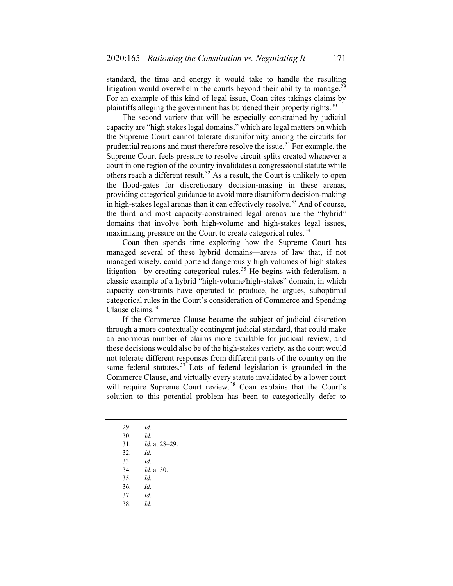standard, the time and energy it would take to handle the resulting litigation would overwhelm the courts beyond their ability to manage.<sup>[29](#page-6-0)</sup> For an example of this kind of legal issue, Coan cites takings claims by plaintiffs alleging the government has burdened their property rights. $30$ 

The second variety that will be especially constrained by judicial capacity are "high stakes legal domains," which are legal matters on which the Supreme Court cannot tolerate disuniformity among the circuits for prudential reasons and must therefore resolve the issue.<sup>[31](#page-6-2)</sup> For example, the Supreme Court feels pressure to resolve circuit splits created whenever a court in one region of the country invalidates a congressional statute while others reach a different result.<sup>[32](#page-6-3)</sup> As a result, the Court is unlikely to open the flood-gates for discretionary decision-making in these arenas, providing categorical guidance to avoid more disuniform decision-making in high-stakes legal arenas than it can effectively resolve.<sup>[33](#page-6-4)</sup> And of course, the third and most capacity-constrained legal arenas are the "hybrid" domains that involve both high-volume and high-stakes legal issues, maximizing pressure on the Court to create categorical rules.<sup>[34](#page-6-5)</sup>

Coan then spends time exploring how the Supreme Court has managed several of these hybrid domains—areas of law that, if not managed wisely, could portend dangerously high volumes of high stakes litigation—by creating categorical rules.<sup>[35](#page-6-6)</sup> He begins with federalism, a classic example of a hybrid "high-volume/high-stakes" domain, in which capacity constraints have operated to produce, he argues, suboptimal categorical rules in the Court's consideration of Commerce and Spending Clause claims.<sup>[36](#page-6-7)</sup>

If the Commerce Clause became the subject of judicial discretion through a more contextually contingent judicial standard, that could make an enormous number of claims more available for judicial review, and these decisions would also be of the high-stakes variety, as the court would not tolerate different responses from different parts of the country on the same federal statutes. $37$  Lots of federal legislation is grounded in the Commerce Clause, and virtually every statute invalidated by a lower court will require Supreme Court review.<sup>[38](#page-6-9)</sup> Coan explains that the Court's solution to this potential problem has been to categorically defer to

<sup>29.</sup> *Id.*

<span id="page-6-3"></span><span id="page-6-2"></span><span id="page-6-1"></span><span id="page-6-0"></span><sup>30.</sup> *Id.*

<sup>31.</sup> *Id.* at 28–29.

<sup>32.</sup> *Id.*

<span id="page-6-5"></span><span id="page-6-4"></span><sup>33.</sup> *Id.*

<sup>34.</sup> *Id.* at 30.

<sup>35.</sup> *Id.*

<span id="page-6-7"></span><span id="page-6-6"></span><sup>36.</sup> *Id.*

<span id="page-6-9"></span><span id="page-6-8"></span><sup>37.</sup> *Id.*

<sup>38.</sup> *Id.*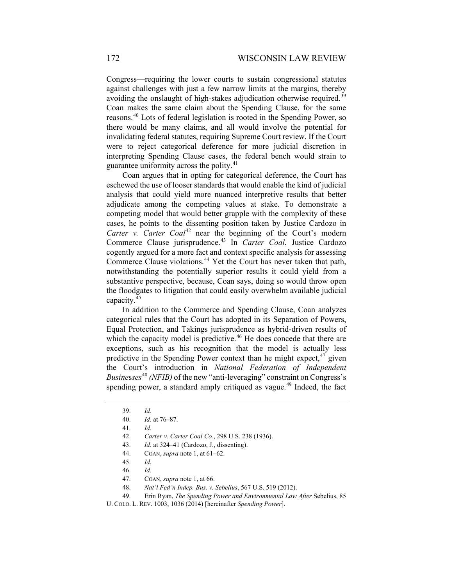Congress—requiring the lower courts to sustain congressional statutes against challenges with just a few narrow limits at the margins, thereby avoiding the onslaught of high-stakes adjudication otherwise required.<sup>[39](#page-7-0)</sup> Coan makes the same claim about the Spending Clause, for the same reasons.[40](#page-7-1) Lots of federal legislation is rooted in the Spending Power, so there would be many claims, and all would involve the potential for invalidating federal statutes, requiring Supreme Court review. If the Court were to reject categorical deference for more judicial discretion in interpreting Spending Clause cases, the federal bench would strain to guarantee uniformity across the polity.<sup>[41](#page-7-2)</sup>

Coan argues that in opting for categorical deference, the Court has eschewed the use of looser standards that would enable the kind of judicial analysis that could yield more nuanced interpretive results that better adjudicate among the competing values at stake. To demonstrate a competing model that would better grapple with the complexity of these cases, he points to the dissenting position taken by Justice Cardozo in *Carter v. Carter Coal*<sup>[42](#page-7-3)</sup> near the beginning of the Court's modern Commerce Clause jurisprudence.[43](#page-7-4) In *Carter Coal*, Justice Cardozo cogently argued for a more fact and context specific analysis for assessing Commerce Clause violations.<sup>[44](#page-7-5)</sup> Yet the Court has never taken that path, notwithstanding the potentially superior results it could yield from a substantive perspective, because, Coan says, doing so would throw open the floodgates to litigation that could easily overwhelm available judicial capacity.[45](#page-7-6)

In addition to the Commerce and Spending Clause, Coan analyzes categorical rules that the Court has adopted in its Separation of Powers, Equal Protection, and Takings jurisprudence as hybrid-driven results of which the capacity model is predictive.<sup>[46](#page-7-7)</sup> He does concede that there are exceptions, such as his recognition that the model is actually less predictive in the Spending Power context than he might expect,  $47$  given the Court's introduction in *National Federation of Independent Busine*s*ses*[48](#page-7-9) *(NFIB)* of the new "anti-leveraging" constraint on Congress's spending power, a standard amply critiqued as vague.<sup>[49](#page-7-10)</sup> Indeed, the fact

- 43. *Id.* at 324–41 (Cardozo, J., dissenting).
- 44. COAN, *supra* not[e 1,](#page-0-4) at 61–62.
- 45. *Id.*
- 46. *Id.*

<span id="page-7-11"></span><span id="page-7-0"></span><sup>39.</sup> *Id.*

<span id="page-7-1"></span><sup>40.</sup> *Id.* at 76–87.

<sup>41.</sup> *Id.*

<span id="page-7-4"></span><span id="page-7-3"></span><span id="page-7-2"></span><sup>42.</sup> *Carter v. Carter Coal Co.*, 298 U.S. 238 (1936).

<sup>47.</sup> COAN, *supra* not[e 1,](#page-0-4) at 66.

<sup>48.</sup> *Nat'l Fed'n Indep, Bus. v. Sebelius*, 567 U.S. 519 (2012).

<sup>49.</sup> Erin Ryan, *The Spending Power and Environmental Law After* Sebelius, 85

<span id="page-7-10"></span><span id="page-7-9"></span><span id="page-7-8"></span><span id="page-7-7"></span><span id="page-7-6"></span><span id="page-7-5"></span>U. COLO. L. REV. 1003, 1036 (2014) [hereinafter *Spending Power*].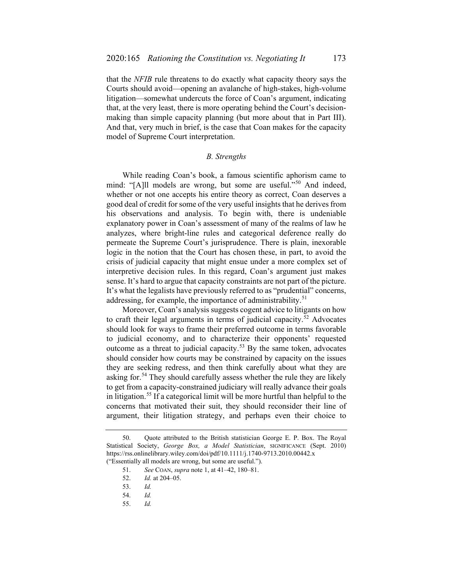that the *NFIB* rule threatens to do exactly what capacity theory says the Courts should avoid—opening an avalanche of high-stakes, high-volume litigation—somewhat undercuts the force of Coan's argument, indicating that, at the very least, there is more operating behind the Court's decisionmaking than simple capacity planning (but more about that in Part III). And that, very much in brief, is the case that Coan makes for the capacity model of Supreme Court interpretation.

# <span id="page-8-6"></span>*B. Strengths*

While reading Coan's book, a famous scientific aphorism came to mind: "[A]ll models are wrong, but some are useful."<sup>[50](#page-8-0)</sup> And indeed, whether or not one accepts his entire theory as correct, Coan deserves a good deal of credit for some of the very useful insights that he derives from his observations and analysis. To begin with, there is undeniable explanatory power in Coan's assessment of many of the realms of law he analyzes, where bright-line rules and categorical deference really do permeate the Supreme Court's jurisprudence. There is plain, inexorable logic in the notion that the Court has chosen these, in part, to avoid the crisis of judicial capacity that might ensue under a more complex set of interpretive decision rules. In this regard, Coan's argument just makes sense. It's hard to argue that capacity constraints are not part of the picture. It's what the legalists have previously referred to as "prudential" concerns, addressing, for example, the importance of administrability.<sup>[51](#page-8-1)</sup>

Moreover, Coan's analysis suggests cogent advice to litigants on how to craft their legal arguments in terms of judicial capacity.<sup>[52](#page-8-2)</sup> Advocates should look for ways to frame their preferred outcome in terms favorable to judicial economy, and to characterize their opponents' requested outcome as a threat to judicial capacity.<sup>[53](#page-8-3)</sup> By the same token, advocates should consider how courts may be constrained by capacity on the issues they are seeking redress, and then think carefully about what they are asking for.<sup>[54](#page-8-4)</sup> They should carefully assess whether the rule they are likely to get from a capacity-constrained judiciary will really advance their goals in litigation.<sup>[55](#page-8-5)</sup> If a categorical limit will be more hurtful than helpful to the concerns that motivated their suit, they should reconsider their line of argument, their litigation strategy, and perhaps even their choice to

<span id="page-8-4"></span><span id="page-8-3"></span><span id="page-8-2"></span><span id="page-8-1"></span><span id="page-8-0"></span><sup>50.</sup> Quote attributed to the British statistician George E. P. Box. The Royal Statistical Society, *George Box, a Model Statistician*, SIGNIFICANCE (Sept. 2010) https://rss.onlinelibrary.wiley.com/doi/pdf/10.1111/j.1740-9713.2010.00442.x ("Essentially all models are wrong, but some are useful.").

<sup>51.</sup> *See* COAN, *supra* note [1,](#page-0-4) at 41–42, 180–81.

<sup>52.</sup> *Id.* at 204–05.

<sup>53.</sup> *Id.*

<sup>54.</sup> *Id.*

<span id="page-8-5"></span><sup>55.</sup> *Id.*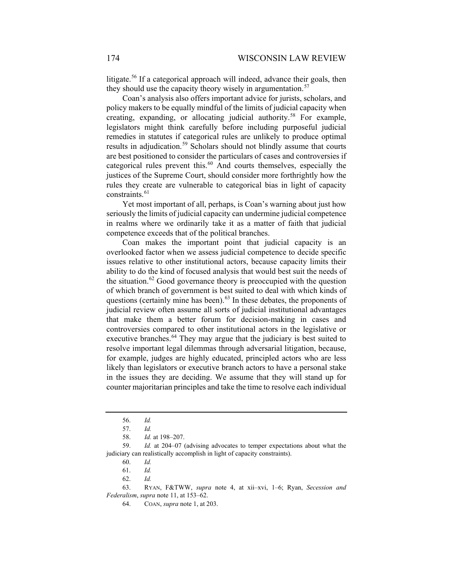litigate.<sup>[56](#page-9-0)</sup> If a categorical approach will indeed, advance their goals, then they should use the capacity theory wisely in argumentation.<sup>[57](#page-9-1)</sup>

Coan's analysis also offers important advice for jurists, scholars, and policy makers to be equally mindful of the limits of judicial capacity when creating, expanding, or allocating judicial authority.<sup>[58](#page-9-2)</sup> For example, legislators might think carefully before including purposeful judicial remedies in statutes if categorical rules are unlikely to produce optimal results in adjudication.<sup>[59](#page-9-3)</sup> Scholars should not blindly assume that courts are best positioned to consider the particulars of cases and controversies if categorical rules prevent this.<sup>[60](#page-9-4)</sup> And courts themselves, especially the justices of the Supreme Court, should consider more forthrightly how the rules they create are vulnerable to categorical bias in light of capacity constraints.<sup>[61](#page-9-5)</sup>

Yet most important of all, perhaps, is Coan's warning about just how seriously the limits of judicial capacity can undermine judicial competence in realms where we ordinarily take it as a matter of faith that judicial competence exceeds that of the political branches.

Coan makes the important point that judicial capacity is an overlooked factor when we assess judicial competence to decide specific issues relative to other institutional actors, because capacity limits their ability to do the kind of focused analysis that would best suit the needs of the situation.<sup>[62](#page-9-6)</sup> Good governance theory is preoccupied with the question of which branch of government is best suited to deal with which kinds of questions (certainly mine has been).<sup>[63](#page-9-7)</sup> In these debates, the proponents of judicial review often assume all sorts of judicial institutional advantages that make them a better forum for decision-making in cases and controversies compared to other institutional actors in the legislative or executive branches.<sup>[64](#page-9-8)</sup> They may argue that the judiciary is best suited to resolve important legal dilemmas through adversarial litigation, because, for example, judges are highly educated, principled actors who are less likely than legislators or executive branch actors to have a personal stake in the issues they are deciding. We assume that they will stand up for counter majoritarian principles and take the time to resolve each individual

<sup>56.</sup> *Id.*

<sup>57.</sup> *Id.*

<sup>58.</sup> *Id.* at 198–207.

<span id="page-9-4"></span><span id="page-9-3"></span><span id="page-9-2"></span><span id="page-9-1"></span><span id="page-9-0"></span><sup>59.</sup> *Id.* at 204–07 (advising advocates to temper expectations about what the judiciary can realistically accomplish in light of capacity constraints).

<sup>60.</sup> *Id.*

<sup>61.</sup> *Id.*

<sup>62.</sup> *Id.*

<span id="page-9-8"></span><span id="page-9-7"></span><span id="page-9-6"></span><span id="page-9-5"></span><sup>63.</sup> RYAN, F&TWW, *supra* note [4,](#page-1-0) at xii–xvi, 1–6; Ryan, *Secession and Federalism*, *supra* note [11,](#page-2-1) at 153–62.

<sup>64.</sup> COAN, *supra* not[e 1,](#page-0-4) at 203.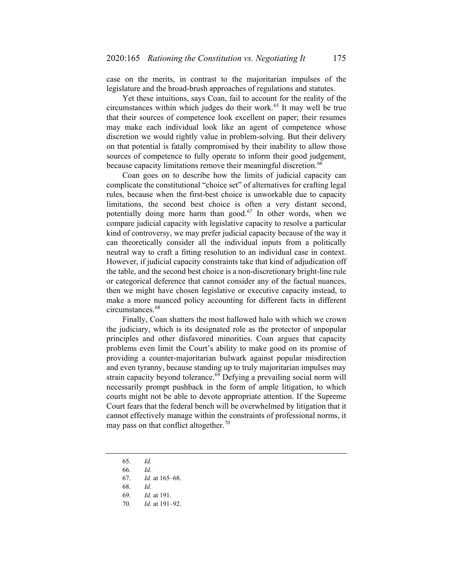case on the merits, in contrast to the majoritarian impulses of the legislature and the broad-brush approaches of regulations and statutes.

Yet these intuitions, says Coan, fail to account for the reality of the circumstances within which judges do their work.<sup>[65](#page-10-0)</sup> It may well be true that their sources of competence look excellent on paper; their resumes may make each individual look like an agent of competence whose discretion we would rightly value in problem-solving. But their delivery on that potential is fatally compromised by their inability to allow those sources of competence to fully operate to inform their good judgement, because capacity limitations remove their meaningful discretion.<sup>[66](#page-10-1)</sup>

Coan goes on to describe how the limits of judicial capacity can complicate the constitutional "choice set" of alternatives for crafting legal rules, because when the first-best choice is unworkable due to capacity limitations, the second best choice is often a very distant second, potentially doing more harm than good.<sup>[67](#page-10-2)</sup> In other words, when we compare judicial capacity with legislative capacity to resolve a particular kind of controversy, we may prefer judicial capacity because of the way it can theoretically consider all the individual inputs from a politically neutral way to craft a fitting resolution to an individual case in context. However, if judicial capacity constraints take that kind of adjudication off the table, and the second best choice is a non-discretionary bright-line rule or categorical deference that cannot consider any of the factual nuances, then we might have chosen legislative or executive capacity instead, to make a more nuanced policy accounting for different facts in different circumstances.<sup>[68](#page-10-3)</sup>

Finally, Coan shatters the most hallowed halo with which we crown the judiciary, which is its designated role as the protector of unpopular principles and other disfavored minorities. Coan argues that capacity problems even limit the Court's ability to make good on its promise of providing a counter-majoritarian bulwark against popular misdirection and even tyranny, because standing up to truly majoritarian impulses may strain capacity beyond tolerance.<sup>[69](#page-10-4)</sup> Defying a prevailing social norm will necessarily prompt pushback in the form of ample litigation, to which courts might not be able to devote appropriate attention. If the Supreme Court fears that the federal bench will be overwhelmed by litigation that it cannot effectively manage within the constraints of professional norms, it may pass on that conflict altogether.<sup>[70](#page-10-5)</sup>

- <span id="page-10-0"></span>65. *Id.*
- <span id="page-10-1"></span>66. *Id.*
- <span id="page-10-2"></span>67. *Id.* at 165–68.
- 68. *Id.*
- 69. *Id.* at 191.
- <span id="page-10-5"></span><span id="page-10-4"></span><span id="page-10-3"></span>70. *Id.* at 191–92.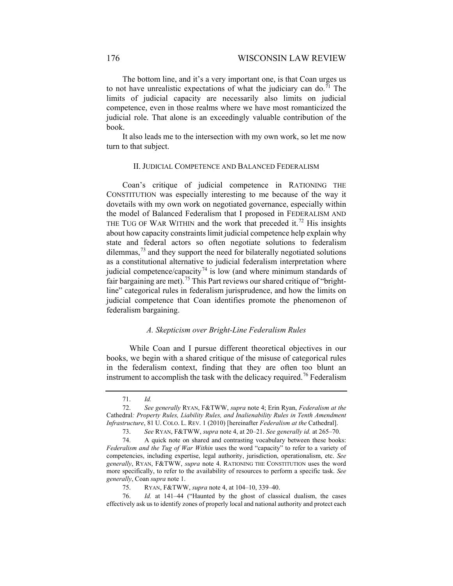The bottom line, and it's a very important one, is that Coan urges us to not have unrealistic expectations of what the judiciary can do.<sup>[71](#page-11-0)</sup> The limits of judicial capacity are necessarily also limits on judicial competence, even in those realms where we have most romanticized the judicial role. That alone is an exceedingly valuable contribution of the book.

It also leads me to the intersection with my own work, so let me now turn to that subject.

### <span id="page-11-6"></span>II. JUDICIAL COMPETENCE AND BALANCED FEDERALISM

Coan's critique of judicial competence in RATIONING THE CONSTITUTION was especially interesting to me because of the way it dovetails with my own work on negotiated governance, especially within the model of Balanced Federalism that I proposed in FEDERALISM AND THE TUG OF WAR WITHIN and the work that preceded it.<sup>[72](#page-11-1)</sup> His insights about how capacity constraints limit judicial competence help explain why state and federal actors so often negotiate solutions to federalism dilemmas, $73$  and they support the need for bilaterally negotiated solutions as a constitutional alternative to judicial federalism interpretation where judicial competence/capacity<sup>[74](#page-11-3)</sup> is low (and where minimum standards of fair bargaining are met).<sup>[75](#page-11-4)</sup> This Part reviews our shared critique of "brightline" categorical rules in federalism jurisprudence, and how the limits on judicial competence that Coan identifies promote the phenomenon of federalism bargaining.

## *A. Skepticism over Bright-Line Federalism Rules*

While Coan and I pursue different theoretical objectives in our books, we begin with a shared critique of the misuse of categorical rules in the federalism context, finding that they are often too blunt an instrument to accomplish the task with the delicacy required.<sup>[76](#page-11-5)</sup> Federalism

<sup>71.</sup> *Id.*

<span id="page-11-1"></span><span id="page-11-0"></span><sup>72.</sup> *See generally* RYAN, F&TWW, *supra* note [4;](#page-1-0) Erin Ryan, *Federalism at the*  Cathedral*: Property Rules, Liability Rules, and Inalienability Rules in Tenth Amendment Infrastructure*, 81 U. COLO. L. REV. 1 (2010) [hereinafter *Federalism at the* Cathedral].

<sup>73.</sup> *See* RYAN, F&TWW, *supra* note [4,](#page-1-0) at 20–21. *See generally id.* at 265–70.

<span id="page-11-3"></span><span id="page-11-2"></span><sup>74.</sup> A quick note on shared and contrasting vocabulary between these books: *Federalism and the Tug of War Within* uses the word "capacity" to refer to a variety of competencies, including expertise, legal authority, jurisdiction, operationalism, etc. *See generally*, RYAN, F&TWW, *supra* note [4.](#page-1-0) RATIONING THE CONSTITUTION uses the word more specifically, to refer to the availability of resources to perform a specific task. *See generally*, Coan *supra* not[e 1.](#page-0-4)

<sup>75.</sup> RYAN, F&TWW, *supra* note [4,](#page-1-0) at 104–10, 339–40.

<span id="page-11-5"></span><span id="page-11-4"></span><sup>76.</sup> *Id.* at 141–44 ("Haunted by the ghost of classical dualism, the cases effectively ask us to identify zones of properly local and national authority and protect each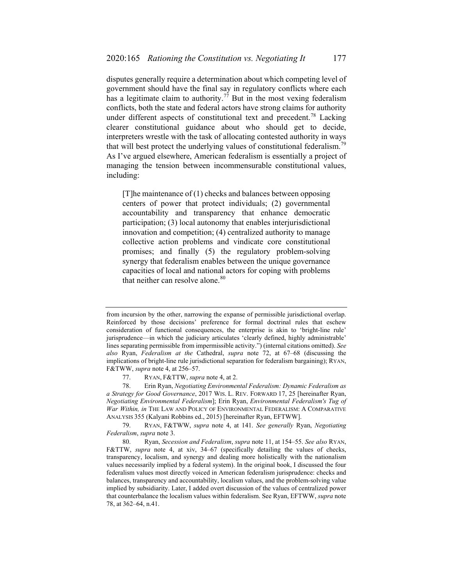disputes generally require a determination about which competing level of government should have the final say in regulatory conflicts where each has a legitimate claim to authority.<sup>[77](#page-12-1)</sup> But in the most vexing federalism conflicts, both the state and federal actors have strong claims for authority under different aspects of constitutional text and precedent.<sup>[78](#page-12-2)</sup> Lacking clearer constitutional guidance about who should get to decide, interpreters wrestle with the task of allocating contested authority in ways that will best protect the underlying values of constitutional federalism.<sup>[79](#page-12-3)</sup> As I've argued elsewhere, American federalism is essentially a project of managing the tension between incommensurable constitutional values, including:

<span id="page-12-0"></span>[T]he maintenance of (1) checks and balances between opposing centers of power that protect individuals; (2) governmental accountability and transparency that enhance democratic participation; (3) local autonomy that enables interjurisdictional innovation and competition; (4) centralized authority to manage collective action problems and vindicate core constitutional promises; and finally (5) the regulatory problem-solving synergy that federalism enables between the unique governance capacities of local and national actors for coping with problems that neither can resolve alone.<sup>[80](#page-12-4)</sup>

from incursion by the other, narrowing the expanse of permissible jurisdictional overlap. Reinforced by those decisions' preference for formal doctrinal rules that eschew consideration of functional consequences, the enterprise is akin to 'bright-line rule' jurisprudence—in which the judiciary articulates 'clearly defined, highly administrable' lines separating permissible from impermissible activity.") (internal citations omitted). *See also* Ryan, *Federalism at the* Cathedral, *supra* note [72,](#page-11-6) at 67–68 (discussing the implications of bright-line rule jurisdictional separation for federalism bargaining); RYAN, F&TWW, *supra* not[e 4,](#page-1-0) at 256–57.

<sup>77.</sup> RYAN, F&TTW, *supra* note [4,](#page-1-0) at 2.

<span id="page-12-2"></span><span id="page-12-1"></span><sup>78.</sup> Erin Ryan, *Negotiating Environmental Federalism: Dynamic Federalism as a Strategy for Good Governance*, 2017 WIS. L. REV. FORWARD 17, 25 [hereinafter Ryan, *Negotiating Environmental Federalism*]; Erin Ryan, *Environmental Federalism's Tug of War Within, in* THE LAW AND POLICY OF ENVIRONMENTAL FEDERALISM: A COMPARATIVE ANALYSIS 355 (Kalyani Robbins ed., 2015) [hereinafter Ryan, EFTWW].

<span id="page-12-3"></span><sup>79.</sup> RYAN, F&TWW, *supra* note [4,](#page-1-0) at 141. *See generally* Ryan, *Negotiating Federalism*, *supra* note [3.](#page-1-9)

<span id="page-12-4"></span><sup>80.</sup> Ryan, *Secession and Federalism*, *supra* not[e 11,](#page-2-1) at 154–55. *See also* RYAN, F&TTW, *supra* note [4,](#page-1-0) at xiv, 34–67 (specifically detailing the values of checks, transparency, localism, and synergy and dealing more holistically with the nationalism values necessarily implied by a federal system). In the original book, I discussed the four federalism values most directly voiced in American federalism jurisprudence: checks and balances, transparency and accountability, localism values, and the problem-solving value implied by subsidiarity. Later, I added overt discussion of the values of centralized power that counterbalance the localism values within federalism. See Ryan, EFTWW, *supra* note [78,](#page-12-0) at 362–64, n.41.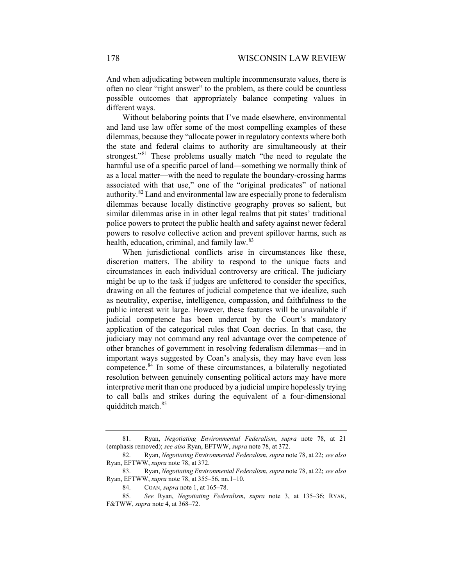And when adjudicating between multiple incommensurate values, there is often no clear "right answer" to the problem, as there could be countless possible outcomes that appropriately balance competing values in different ways.

Without belaboring points that I've made elsewhere, environmental and land use law offer some of the most compelling examples of these dilemmas, because they "allocate power in regulatory contexts where both the state and federal claims to authority are simultaneously at their strongest."<sup>[81](#page-13-0)</sup> These problems usually match "the need to regulate the harmful use of a specific parcel of land—something we normally think of as a local matter—with the need to regulate the boundary-crossing harms associated with that use," one of the "original predicates" of national authority.[82](#page-13-1) Land and environmental law are especially prone to federalism dilemmas because locally distinctive geography proves so salient, but similar dilemmas arise in in other legal realms that pit states' traditional police powers to protect the public health and safety against newer federal powers to resolve collective action and prevent spillover harms, such as health, education, criminal, and family law.<sup>[83](#page-13-2)</sup>

When jurisdictional conflicts arise in circumstances like these, discretion matters. The ability to respond to the unique facts and circumstances in each individual controversy are critical. The judiciary might be up to the task if judges are unfettered to consider the specifics, drawing on all the features of judicial competence that we idealize, such as neutrality, expertise, intelligence, compassion, and faithfulness to the public interest writ large. However, these features will be unavailable if judicial competence has been undercut by the Court's mandatory application of the categorical rules that Coan decries. In that case, the judiciary may not command any real advantage over the competence of other branches of government in resolving federalism dilemmas—and in important ways suggested by Coan's analysis, they may have even less competence. $84$  In some of these circumstances, a bilaterally negotiated resolution between genuinely consenting political actors may have more interpretive merit than one produced by a judicial umpire hopelessly trying to call balls and strikes during the equivalent of a four-dimensional quidditch match.<sup>[85](#page-13-4)</sup>

<span id="page-13-0"></span><sup>81.</sup> Ryan, *Negotiating Environmental Federalism*, *supra* note [78,](#page-12-0) at 21 (emphasis removed); *see also* Ryan, EFTWW, *supra* not[e 78,](#page-12-0) at 372.

<span id="page-13-1"></span><sup>82.</sup> Ryan, *Negotiating Environmental Federalism*, *supra* note [78,](#page-12-0) at 22; *see also* Ryan, EFTWW, *supra* not[e 78,](#page-12-0) at 372.

<span id="page-13-2"></span><sup>83.</sup> Ryan, *Negotiating Environmental Federalism*, *supra* note [78,](#page-12-0) at 22; *see also* Ryan, EFTWW, *supra* not[e 78,](#page-12-0) at 355–56, nn.1–10.

<sup>84.</sup> COAN, *supra* not[e 1,](#page-0-4) at 165–78.

<span id="page-13-4"></span><span id="page-13-3"></span><sup>85.</sup> *See* Ryan, *Negotiating Federalism*, *supra* note [3,](#page-1-9) at 135–36; RYAN, F&TWW, *supra* not[e 4,](#page-1-0) at 368–72.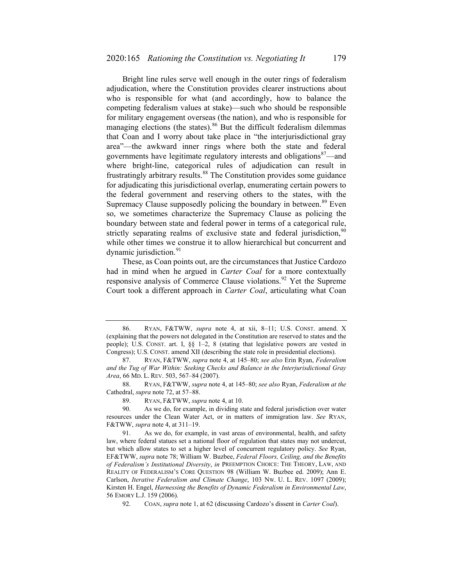Bright line rules serve well enough in the outer rings of federalism adjudication, where the Constitution provides clearer instructions about who is responsible for what (and accordingly, how to balance the competing federalism values at stake)—such who should be responsible for military engagement overseas (the nation), and who is responsible for managing elections (the states).<sup>[86](#page-14-0)</sup> But the difficult federalism dilemmas that Coan and I worry about take place in "the interjurisdictional gray area"—the awkward inner rings where both the state and federal governments have legitimate regulatory interests and obligations<sup>[87](#page-14-1)</sup>—and where bright-line, categorical rules of adjudication can result in frustratingly arbitrary results.<sup>[88](#page-14-2)</sup> The Constitution provides some guidance for adjudicating this jurisdictional overlap, enumerating certain powers to the federal government and reserving others to the states, with the Supremacy Clause supposedly policing the boundary in between.<sup>[89](#page-14-3)</sup> Even so, we sometimes characterize the Supremacy Clause as policing the boundary between state and federal power in terms of a categorical rule, strictly separating realms of exclusive state and federal jurisdiction,  $90$ while other times we construe it to allow hierarchical but concurrent and dynamic jurisdiction.<sup>[91](#page-14-5)</sup>

These, as Coan points out, are the circumstances that Justice Cardozo had in mind when he argued in *Carter Coal* for a more contextually responsive analysis of Commerce Clause violations.<sup>[92](#page-14-6)</sup> Yet the Supreme Court took a different approach in *Carter Coal*, articulating what Coan

89. RYAN, F&TWW, *supra* note [4,](#page-1-0) at 10.

<span id="page-14-0"></span><sup>86.</sup> RYAN, F&TWW, *supra* note [4,](#page-1-0) at xii, 8–11; U.S. CONST. amend. X (explaining that the powers not delegated in the Constitution are reserved to states and the people); U.S. CONST. art. I, §§ 1–2, 8 (stating that legislative powers are vested in Congress); U.S. CONST. amend XII (describing the state role in presidential elections).

<span id="page-14-1"></span><sup>87.</sup> RYAN, F&TWW, *supra* note [4,](#page-1-0) at 145–80; *see also* Erin Ryan, *Federalism and the Tug of War Within: Seeking Checks and Balance in the Interjurisdictional Gray Area*, 66 MD. L. REV. 503, 567–84 (2007).

<span id="page-14-2"></span><sup>88.</sup> RYAN, F&TWW, *supra* note [4,](#page-1-0) at 145–80; *see also* Ryan, *Federalism at the* Cathedral, *supra* note [72,](#page-11-6) at 57–88.

<span id="page-14-4"></span><span id="page-14-3"></span><sup>90.</sup> As we do, for example, in dividing state and federal jurisdiction over water resources under the Clean Water Act, or in matters of immigration law. *See* RYAN, F&TWW, *supra* not[e 4,](#page-1-0) at 311–19.

<span id="page-14-5"></span><sup>91.</sup> As we do, for example, in vast areas of environmental, health, and safety law, where federal statues set a national floor of regulation that states may not undercut, but which allow states to set a higher level of concurrent regulatory policy. *See* Ryan, EF&TWW, *supra* note [78;](#page-12-0) William W. Buzbee, *Federal Floors, Ceiling, and the Benefits of Federalism's Institutional Diversity*, *in* PREEMPTION CHOICE: THE THEORY, LAW, AND REALITY OF FEDERALISM'S CORE QUESTION 98 (William W. Buzbee ed. 2009); Ann E. Carlson, *Iterative Federalism and Climate Change*, 103 NW. U. L. REV. 1097 (2009); Kirsten H. Engel, *Harnessing the Benefits of Dynamic Federalism in Environmental Law*, 56 EMORY L.J. 159 (2006).

<span id="page-14-6"></span><sup>92.</sup> COAN, *supra* not[e 1,](#page-0-4) at 62 (discussing Cardozo's dissent in *Carter Coal*).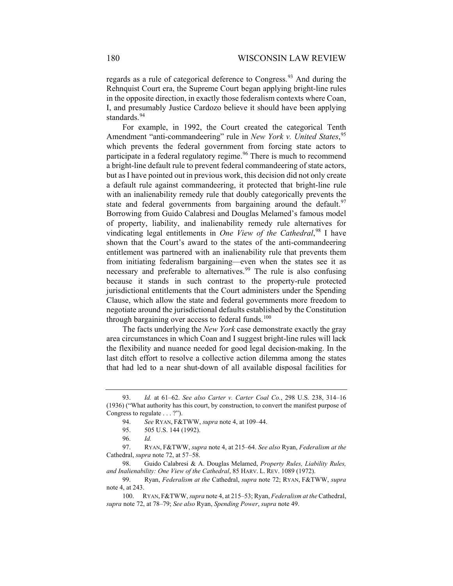regards as a rule of categorical deference to Congress.<sup>[93](#page-15-0)</sup> And during the Rehnquist Court era, the Supreme Court began applying bright-line rules in the opposite direction, in exactly those federalism contexts where Coan, I, and presumably Justice Cardozo believe it should have been applying standards.<sup>[94](#page-15-1)</sup>

For example, in 1992, the Court created the categorical Tenth Amendment "anti-commandeering" rule in *New York v. United States*, [95](#page-15-2) which prevents the federal government from forcing state actors to participate in a federal regulatory regime.<sup>[96](#page-15-3)</sup> There is much to recommend a bright-line default rule to prevent federal commandeering of state actors, but as I have pointed out in previous work, this decision did not only create a default rule against commandeering, it protected that bright-line rule with an inalienability remedy rule that doubly categorically prevents the state and federal governments from bargaining around the default.<sup>[97](#page-15-4)</sup> Borrowing from Guido Calabresi and Douglas Melamed's famous model of property, liability, and inalienability remedy rule alternatives for vindicating legal entitlements in *One View of the Cathedral*, [98](#page-15-5) I have shown that the Court's award to the states of the anti-commandeering entitlement was partnered with an inalienability rule that prevents them from initiating federalism bargaining—even when the states see it as necessary and preferable to alternatives.<sup>[99](#page-15-6)</sup> The rule is also confusing because it stands in such contrast to the property-rule protected jurisdictional entitlements that the Court administers under the Spending Clause, which allow the state and federal governments more freedom to negotiate around the jurisdictional defaults established by the Constitution through bargaining over access to federal funds. $100$ 

The facts underlying the *New York* case demonstrate exactly the gray area circumstances in which Coan and I suggest bright-line rules will lack the flexibility and nuance needed for good legal decision-making. In the last ditch effort to resolve a collective action dilemma among the states that had led to a near shut-down of all available disposal facilities for

<span id="page-15-1"></span><span id="page-15-0"></span><sup>93.</sup> *Id.* at 61–62. *See also Carter v. Carter Coal Co.*, 298 U.S. 238, 314–16 (1936) ("What authority has this court, by construction, to convert the manifest purpose of Congress to regulate . . . ?").

<sup>94.</sup> *See* RYAN, F&TWW, *supra* not[e 4,](#page-1-0) at 109–44.

<sup>95.</sup> 505 U.S. 144 (1992).

<sup>96.</sup> *Id.*

<span id="page-15-4"></span><span id="page-15-3"></span><span id="page-15-2"></span><sup>97.</sup> RYAN, F&TWW, *supra* note [4,](#page-1-0) at 215–64. *See also* Ryan, *Federalism at the*  Cathedral, *supra* note [72,](#page-11-6) at 57–58.

<span id="page-15-5"></span><sup>98.</sup> Guido Calabresi & A. Douglas Melamed, *Property Rules, Liability Rules, and Inalienability: One View of the Cathedral*, 85 HARV. L. REV. 1089 (1972).

<span id="page-15-6"></span><sup>99.</sup> Ryan, *Federalism at the* Cathedral, *supra* note [72;](#page-11-6) RYAN, F&TWW, *supra* not[e 4,](#page-1-0) at 243.

<span id="page-15-7"></span><sup>100.</sup> RYAN, F&TWW, *supra* not[e 4,](#page-1-0) at 215–53; Ryan, *Federalism at the* Cathedral, *supra* not[e 72,](#page-11-6) at 78–79; *See also* Ryan, *Spending Power*, *supra* not[e 49.](#page-7-11)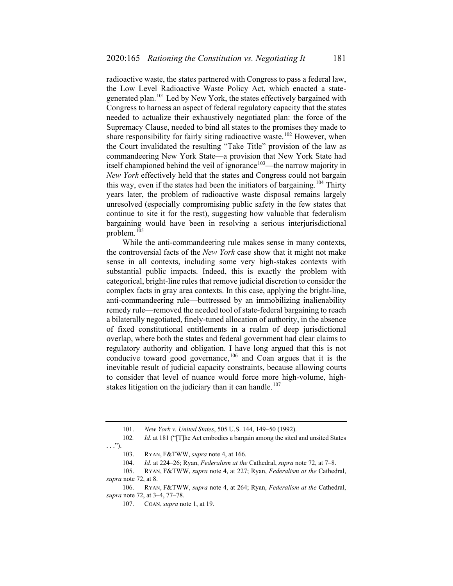radioactive waste, the states partnered with Congress to pass a federal law, the Low Level Radioactive Waste Policy Act, which enacted a state-generated plan.<sup>[101](#page-16-0)</sup> Led by New York, the states effectively bargained with Congress to harness an aspect of federal regulatory capacity that the states needed to actualize their exhaustively negotiated plan: the force of the Supremacy Clause, needed to bind all states to the promises they made to share responsibility for fairly siting radioactive waste.<sup>[102](#page-16-1)</sup> However, when the Court invalidated the resulting "Take Title" provision of the law as commandeering New York State—a provision that New York State had itself championed behind the veil of ignorance<sup>103</sup>—the narrow majority in *New York* effectively held that the states and Congress could not bargain this way, even if the states had been the initiators of bargaining.<sup>[104](#page-16-3)</sup> Thirty years later, the problem of radioactive waste disposal remains largely unresolved (especially compromising public safety in the few states that continue to site it for the rest), suggesting how valuable that federalism bargaining would have been in resolving a serious interjurisdictional problem.[105](#page-16-4)

While the anti-commandeering rule makes sense in many contexts, the controversial facts of the *New York* case show that it might not make sense in all contexts, including some very high-stakes contexts with substantial public impacts. Indeed, this is exactly the problem with categorical, bright-line rules that remove judicial discretion to consider the complex facts in gray area contexts. In this case, applying the bright-line, anti-commandeering rule—buttressed by an immobilizing inalienability remedy rule—removed the needed tool of state-federal bargaining to reach a bilaterally negotiated, finely-tuned allocation of authority, in the absence of fixed constitutional entitlements in a realm of deep jurisdictional overlap, where both the states and federal government had clear claims to regulatory authority and obligation. I have long argued that this is not conducive toward good governance,  $106$  and Coan argues that it is the inevitable result of judicial capacity constraints, because allowing courts to consider that level of nuance would force more high-volume, high-stakes litigation on the judiciary than it can handle.<sup>[107](#page-16-6)</sup>

<sup>101.</sup> *New York v. United States*, 505 U.S. 144, 149–50 (1992).

<span id="page-16-1"></span><span id="page-16-0"></span><sup>102</sup>*. Id.* at 181 ("[T]he Act embodies a bargain among the sited and unsited States  $\ldots$ ").

<sup>103.</sup> RYAN, F&TWW, *supra* note [4,](#page-1-0) at 166.

<sup>104.</sup> *Id.* at 224–26; Ryan, *Federalism at the* Cathedral, *supra* note [72,](#page-11-6) at 7–8.

<span id="page-16-4"></span><span id="page-16-3"></span><span id="page-16-2"></span><sup>105.</sup> RYAN, F&TWW, *supra* note [4,](#page-1-0) at 227; Ryan, *Federalism at the* Cathedral, *supra* not[e 72,](#page-11-6) at 8.

<span id="page-16-6"></span><span id="page-16-5"></span><sup>106.</sup> RYAN, F&TWW, *supra* note [4,](#page-1-0) at 264; Ryan, *Federalism at the* Cathedral, *supra* not[e 72,](#page-11-6) at 3–4, 77–78.

<sup>107.</sup> COAN, *supra* note 1, at 19.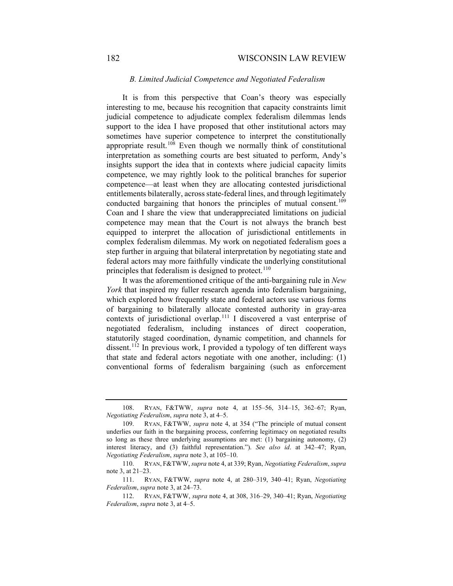## 182 WISCONSIN LAW REVIEW

## *B. Limited Judicial Competence and Negotiated Federalism*

It is from this perspective that Coan's theory was especially interesting to me, because his recognition that capacity constraints limit judicial competence to adjudicate complex federalism dilemmas lends support to the idea I have proposed that other institutional actors may sometimes have superior competence to interpret the constitutionally appropriate result.<sup>[108](#page-17-0)</sup> Even though we normally think of constitutional interpretation as something courts are best situated to perform, Andy's insights support the idea that in contexts where judicial capacity limits competence, we may rightly look to the political branches for superior competence—at least when they are allocating contested jurisdictional entitlements bilaterally, across state-federal lines, and through legitimately conducted bargaining that honors the principles of mutual consent.<sup>[109](#page-17-1)</sup> Coan and I share the view that underappreciated limitations on judicial competence may mean that the Court is not always the branch best equipped to interpret the allocation of jurisdictional entitlements in complex federalism dilemmas. My work on negotiated federalism goes a step further in arguing that bilateral interpretation by negotiating state and federal actors may more faithfully vindicate the underlying constitutional principles that federalism is designed to protect.<sup>[110](#page-17-2)</sup>

It was the aforementioned critique of the anti-bargaining rule in *New York* that inspired my fuller research agenda into federalism bargaining, which explored how frequently state and federal actors use various forms of bargaining to bilaterally allocate contested authority in gray-area contexts of jurisdictional overlap.<sup>[111](#page-17-3)</sup> I discovered a vast enterprise of negotiated federalism, including instances of direct cooperation, statutorily staged coordination, dynamic competition, and channels for dissent.<sup>[112](#page-17-4)</sup> In previous work, I provided a typology of ten different ways that state and federal actors negotiate with one another, including: (1) conventional forms of federalism bargaining (such as enforcement

<span id="page-17-0"></span><sup>108.</sup> RYAN, F&TWW, *supra* note [4,](#page-1-0) at 155–56, 314–15, 362–67; Ryan, *Negotiating Federalism*, *supra* not[e 3,](#page-1-9) at 4–5.

<span id="page-17-1"></span><sup>109.</sup> RYAN, F&TWW, *supra* note [4,](#page-1-0) at 354 ("The principle of mutual consent underlies our faith in the bargaining process, conferring legitimacy on negotiated results so long as these three underlying assumptions are met: (1) bargaining autonomy, (2) interest literacy, and (3) faithful representation."). *See also id*. at 342–47; Ryan, *Negotiating Federalism*, *supra* not[e 3,](#page-1-9) at 105–10.

<span id="page-17-2"></span><sup>110.</sup> RYAN, F&TWW, *supra* note [4,](#page-1-0) at 339; Ryan, *Negotiating Federalism*, *supra* not[e 3,](#page-1-9) at 21–23.

<span id="page-17-3"></span><sup>111.</sup> RYAN, F&TWW, *supra* note [4,](#page-1-0) at 280–319, 340–41; Ryan, *Negotiating Federalism*, *supra* note [3,](#page-1-9) at 24–73.

<span id="page-17-4"></span><sup>112.</sup> RYAN, F&TWW, *supra* note [4,](#page-1-0) at 308, 316–29, 340–41; Ryan, *Negotiating Federalism*, *supra* note [3,](#page-1-9) at 4–5.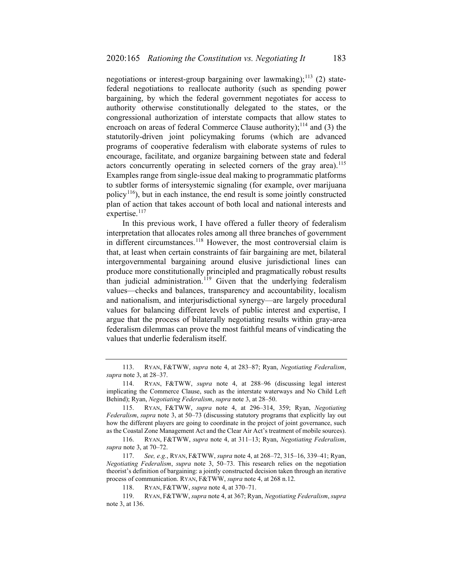negotiations or interest-group bargaining over lawmaking);<sup>[113](#page-18-0)</sup> (2) statefederal negotiations to reallocate authority (such as spending power bargaining, by which the federal government negotiates for access to authority otherwise constitutionally delegated to the states, or the congressional authorization of interstate compacts that allow states to encroach on areas of federal Commerce Clause authority);<sup>[114](#page-18-1)</sup> and (3) the statutorily-driven joint policymaking forums (which are advanced programs of cooperative federalism with elaborate systems of rules to encourage, facilitate, and organize bargaining between state and federal actors concurrently operating in selected corners of the gray area).<sup>[115](#page-18-2)</sup> Examples range from single-issue deal making to programmatic platforms to subtler forms of intersystemic signaling (for example, over marijuana policy<sup>116</sup>), but in each instance, the end result is some jointly constructed plan of action that takes account of both local and national interests and expertise.<sup>[117](#page-18-4)</sup>

In this previous work, I have offered a fuller theory of federalism interpretation that allocates roles among all three branches of government in different circumstances.<sup>[118](#page-18-5)</sup> However, the most controversial claim is that, at least when certain constraints of fair bargaining are met, bilateral intergovernmental bargaining around elusive jurisdictional lines can produce more constitutionally principled and pragmatically robust results than judicial administration.<sup>[119](#page-18-6)</sup> Given that the underlying federalism values—checks and balances, transparency and accountability, localism and nationalism, and interjurisdictional synergy—are largely procedural values for balancing different levels of public interest and expertise, I argue that the process of bilaterally negotiating results within gray-area federalism dilemmas can prove the most faithful means of vindicating the values that underlie federalism itself.

<span id="page-18-0"></span><sup>113.</sup> RYAN, F&TWW, *supra* note [4,](#page-1-0) at 283–87; Ryan, *Negotiating Federalism*, *supra* not[e 3,](#page-1-9) at 28–37.

<span id="page-18-1"></span><sup>114.</sup> RYAN, F&TWW, *supra* note [4,](#page-1-0) at 288–96 (discussing legal interest implicating the Commerce Clause, such as the interstate waterways and No Child Left Behind); Ryan, *Negotiating Federalism*, *supra* note [3,](#page-1-9) at 28–50.

<span id="page-18-2"></span><sup>115.</sup> RYAN, F&TWW, *supra* note [4,](#page-1-0) at 296–314, 359; Ryan, *Negotiating Federalism*, *supra* note [3,](#page-1-9) at 50–73 (discussing statutory programs that explicitly lay out how the different players are going to coordinate in the project of joint governance, such as the Coastal Zone Management Act and the Clear Air Act's treatment of mobile sources).

<span id="page-18-3"></span><sup>116.</sup> RYAN, F&TWW, *supra* note [4,](#page-1-0) at 311–13; Ryan, *Negotiating Federalism*, *supra* not[e 3,](#page-1-9) at 70–72.

<span id="page-18-4"></span><sup>117.</sup> *See, e.g.*, RYAN, F&TWW, *supra* not[e 4,](#page-1-0) at 268–72, 315–16, 339–41; Ryan, *Negotiating Federalism*, *supra* note [3,](#page-1-9) 50–73. This research relies on the negotiation theorist's definition of bargaining: a jointly constructed decision taken through an iterative process of communication. RYAN, F&TWW, *supra* note [4,](#page-1-0) at 268 n.12.

<sup>118.</sup> RYAN, F&TWW, *supra* note [4,](#page-1-0) at 370–71.

<span id="page-18-6"></span><span id="page-18-5"></span><sup>119.</sup> RYAN, F&TWW, *supra* note [4,](#page-1-0) at 367; Ryan, *Negotiating Federalism*, *supra*  not[e 3,](#page-1-9) at 136.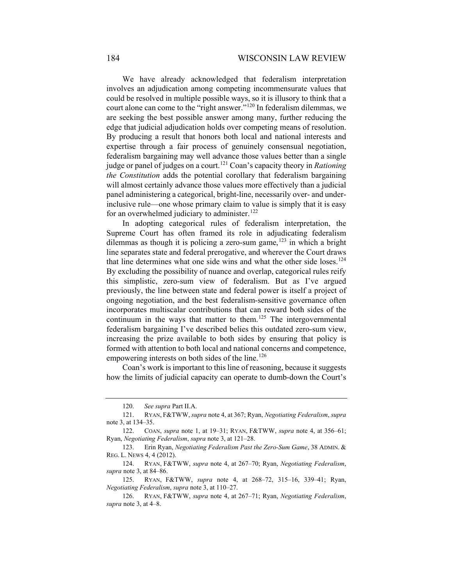We have already acknowledged that federalism interpretation involves an adjudication among competing incommensurate values that could be resolved in multiple possible ways, so it is illusory to think that a court alone can come to the "right answer."[120](#page-19-0) In federalism dilemmas, we are seeking the best possible answer among many, further reducing the edge that judicial adjudication holds over competing means of resolution. By producing a result that honors both local and national interests and expertise through a fair process of genuinely consensual negotiation, federalism bargaining may well advance those values better than a single judge or panel of judges on a court.[121](#page-19-1) Coan's capacity theory in *Rationing the Constitution* adds the potential corollary that federalism bargaining will almost certainly advance those values more effectively than a judicial panel administering a categorical, bright-line, necessarily over- and underinclusive rule—one whose primary claim to value is simply that it is easy for an overwhelmed judiciary to administer.<sup>[122](#page-19-2)</sup>

In adopting categorical rules of federalism interpretation, the Supreme Court has often framed its role in adjudicating federalism dilemmas as though it is policing a zero-sum game, $123$  in which a bright line separates state and federal prerogative, and wherever the Court draws that line determines what one side wins and what the other side loses.<sup>[124](#page-19-4)</sup> By excluding the possibility of nuance and overlap, categorical rules reify this simplistic, zero-sum view of federalism. But as I've argued previously, the line between state and federal power is itself a project of ongoing negotiation, and the best federalism-sensitive governance often incorporates multiscalar contributions that can reward both sides of the continuum in the ways that matter to them.<sup>[125](#page-19-5)</sup> The intergovernmental federalism bargaining I've described belies this outdated zero-sum view, increasing the prize available to both sides by ensuring that policy is formed with attention to both local and national concerns and competence, empowering interests on both sides of the line.<sup>[126](#page-19-6)</sup>

Coan's work is important to this line of reasoning, because it suggests how the limits of judicial capacity can operate to dumb-down the Court's

<sup>120.</sup> *See supra* Part II.A.

<span id="page-19-1"></span><span id="page-19-0"></span><sup>121.</sup> RYAN, F&TWW, *supra* note [4,](#page-1-0) at 367; Ryan, *Negotiating Federalism*, *supra*  not[e 3,](#page-1-9) at 134–35.

<span id="page-19-3"></span><span id="page-19-2"></span><sup>122.</sup> COAN, *supra* note [1,](#page-0-4) at 19–31; RYAN, F&TWW, *supra* note [4,](#page-1-0) at 356–61; Ryan, *Negotiating Federalism*, *supra* not[e 3,](#page-1-9) at 121–28.

<sup>123.</sup> Erin Ryan, *Negotiating Federalism Past the Zero-Sum Game*, 38 ADMIN. & REG. L. NEWS 4, 4 (2012).

<span id="page-19-4"></span><sup>124.</sup> RYAN, F&TWW, *supra* note [4,](#page-1-0) at 267–70; Ryan, *Negotiating Federalism*, *supra* not[e 3,](#page-1-9) at 84–86.

<span id="page-19-5"></span><sup>125.</sup> RYAN, F&TWW, *supra* note [4,](#page-1-0) at 268–72, 315–16, 339–41; Ryan, *Negotiating Federalism*, *supra* not[e 3,](#page-1-9) at 110–27.

<span id="page-19-6"></span><sup>126.</sup> RYAN, F&TWW, *supra* note [4,](#page-1-0) at 267–71; Ryan, *Negotiating Federalism*, *supra* not[e 3,](#page-1-9) at 4–8.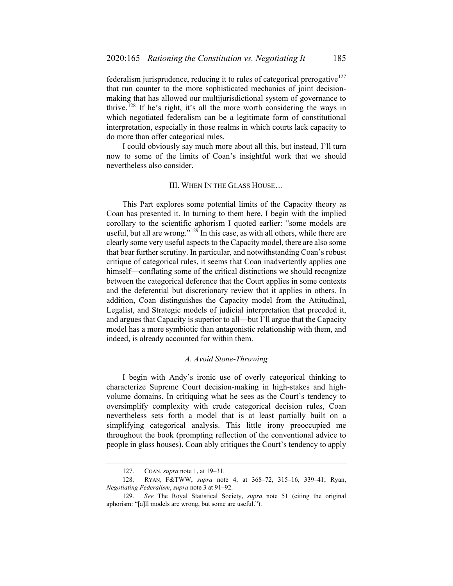federalism jurisprudence, reducing it to rules of categorical prerogative<sup>[127](#page-20-0)</sup> that run counter to the more sophisticated mechanics of joint decisionmaking that has allowed our multijurisdictional system of governance to thrive.<sup>[128](#page-20-1)</sup> If he's right, it's all the more worth considering the ways in which negotiated federalism can be a legitimate form of constitutional interpretation, especially in those realms in which courts lack capacity to do more than offer categorical rules.

I could obviously say much more about all this, but instead, I'll turn now to some of the limits of Coan's insightful work that we should nevertheless also consider.

#### III. WHEN IN THE GLASS HOUSE…

This Part explores some potential limits of the Capacity theory as Coan has presented it. In turning to them here, I begin with the implied corollary to the scientific aphorism I quoted earlier: "some models are useful, but all are wrong." $129$  In this case, as with all others, while there are clearly some very useful aspects to the Capacity model, there are also some that bear further scrutiny. In particular, and notwithstanding Coan's robust critique of categorical rules, it seems that Coan inadvertently applies one himself—conflating some of the critical distinctions we should recognize between the categorical deference that the Court applies in some contexts and the deferential but discretionary review that it applies in others. In addition, Coan distinguishes the Capacity model from the Attitudinal, Legalist, and Strategic models of judicial interpretation that preceded it, and argues that Capacity is superior to all—but I'll argue that the Capacity model has a more symbiotic than antagonistic relationship with them, and indeed, is already accounted for within them.

#### *A. Avoid Stone-Throwing*

I begin with Andy's ironic use of overly categorical thinking to characterize Supreme Court decision-making in high-stakes and highvolume domains. In critiquing what he sees as the Court's tendency to oversimplify complexity with crude categorical decision rules, Coan nevertheless sets forth a model that is at least partially built on a simplifying categorical analysis. This little irony preoccupied me throughout the book (prompting reflection of the conventional advice to people in glass houses). Coan ably critiques the Court's tendency to apply

<sup>127.</sup> COAN, *supra* not[e 1,](#page-0-4) at 19–31.

<span id="page-20-1"></span><span id="page-20-0"></span><sup>128.</sup> RYAN, F&TWW, *supra* note [4,](#page-1-0) at 368–72, 315–16, 339–41; Ryan, *Negotiating Federalism*, *supra* not[e 3](#page-1-9) at 91–92.

<span id="page-20-2"></span><sup>129.</sup> *See* The Royal Statistical Society, *supra* note [51](#page-8-6) (citing the original aphorism: "[a]ll models are wrong, but some are useful.").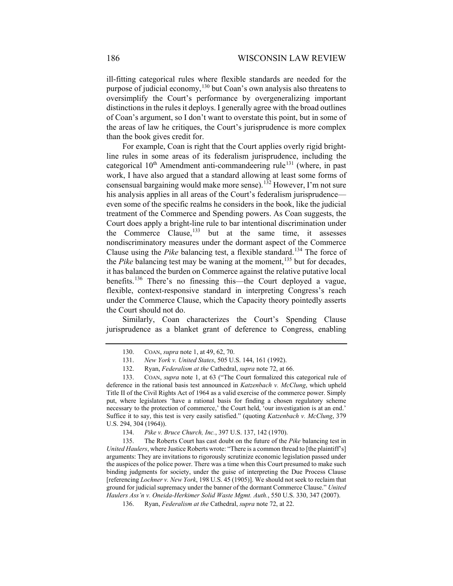ill-fitting categorical rules where flexible standards are needed for the purpose of judicial economy,<sup>[130](#page-21-0)</sup> but Coan's own analysis also threatens to oversimplify the Court's performance by overgeneralizing important distinctions in the rules it deploys. I generally agree with the broad outlines of Coan's argument, so I don't want to overstate this point, but in some of the areas of law he critiques, the Court's jurisprudence is more complex than the book gives credit for.

For example, Coan is right that the Court applies overly rigid brightline rules in some areas of its federalism jurisprudence, including the categorical  $10^{th}$  Amendment anti-commandeering rule<sup>[131](#page-21-1)</sup> (where, in past work, I have also argued that a standard allowing at least some forms of consensual bargaining would make more sense).<sup>[132](#page-21-2)</sup> However, I'm not sure his analysis applies in all areas of the Court's federalism jurisprudence even some of the specific realms he considers in the book, like the judicial treatment of the Commerce and Spending powers. As Coan suggests, the Court does apply a bright-line rule to bar intentional discrimination under the Commerce Clause, $133$  but at the same time, it assesses nondiscriminatory measures under the dormant aspect of the Commerce Clause using the *Pike* balancing test, a flexible standard.<sup>[134](#page-21-4)</sup> The force of the *Pike* balancing test may be waning at the moment,<sup>[135](#page-21-5)</sup> but for decades, it has balanced the burden on Commerce against the relative putative local benefits.[136](#page-21-6) There's no finessing this—the Court deployed a vague, flexible, context-responsive standard in interpreting Congress's reach under the Commerce Clause, which the Capacity theory pointedly asserts the Court should not do.

Similarly, Coan characterizes the Court's Spending Clause jurisprudence as a blanket grant of deference to Congress, enabling

<sup>130.</sup> COAN, *supra* not[e 1,](#page-0-4) at 49, 62, 70.

<sup>131.</sup> *New York v. United States*, 505 U.S. 144, 161 (1992).

<sup>132.</sup> Ryan, *Federalism at the* Cathedral, *supra* not[e 72,](#page-11-6) at 66.

<span id="page-21-3"></span><span id="page-21-2"></span><span id="page-21-1"></span><span id="page-21-0"></span><sup>133.</sup> COAN, *supra* note [1,](#page-0-4) at 63 ("The Court formalized this categorical rule of deference in the rational basis test announced in *Katzenbach v. McClung*, which upheld Title II of the Civil Rights Act of 1964 as a valid exercise of the commerce power. Simply put, where legislators 'have a rational basis for finding a chosen regulatory scheme necessary to the protection of commerce,' the Court held, 'our investigation is at an end.' Suffice it to say, this test is very easily satisfied." (quoting *Katzenbach v. McClung*, 379 U.S. 294, 304 (1964)).

<sup>134.</sup> *Pike v. Bruce Church, Inc.*, 397 U.S. 137, 142 (1970).

<span id="page-21-6"></span><span id="page-21-5"></span><span id="page-21-4"></span><sup>135.</sup> The Roberts Court has cast doubt on the future of the *Pike* balancing test in *United Haulers*, where Justice Roberts wrote: "There is a common thread to [the plaintiff's] arguments: They are invitations to rigorously scrutinize economic legislation passed under the auspices of the police power. There was a time when this Court presumed to make such binding judgments for society, under the guise of interpreting the Due Process Clause [referencing *Lochner v. New York*, 198 U.S. 45 (1905)]. We should not seek to reclaim that ground for judicial supremacy under the banner of the dormant Commerce Clause." *United Haulers Ass'n v. Oneida-Herkimer Solid Waste Mgmt. Auth.*, 550 U.S. 330, 347 (2007).

<sup>136.</sup> Ryan, *Federalism at the* Cathedral, *supra* not[e 72,](#page-11-6) at 22.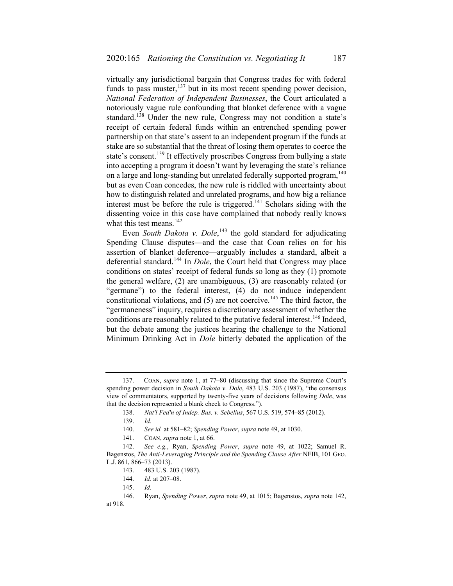virtually any jurisdictional bargain that Congress trades for with federal funds to pass muster,  $137$  but in its most recent spending power decision, *National Federation of Independent Businesses*, the Court articulated a notoriously vague rule confounding that blanket deference with a vague standard.<sup>[138](#page-22-2)</sup> Under the new rule, Congress may not condition a state's receipt of certain federal funds within an entrenched spending power partnership on that state's assent to an independent program if the funds at stake are so substantial that the threat of losing them operates to coerce the state's consent.<sup>[139](#page-22-3)</sup> It effectively proscribes Congress from bullying a state into accepting a program it doesn't want by leveraging the state's reliance on a large and long-standing but unrelated federally supported program, <sup>[140](#page-22-4)</sup> but as even Coan concedes, the new rule is riddled with uncertainty about how to distinguish related and unrelated programs, and how big a reliance interest must be before the rule is triggered.<sup>[141](#page-22-5)</sup> Scholars siding with the dissenting voice in this case have complained that nobody really knows what this test means.<sup>[142](#page-22-6)</sup>

<span id="page-22-0"></span>Even *South Dakota v. Dole*,<sup>[143](#page-22-7)</sup> the gold standard for adjudicating Spending Clause disputes—and the case that Coan relies on for his assertion of blanket deference—arguably includes a standard, albeit a deferential standard.<sup>[144](#page-22-8)</sup> In *Dole*, the Court held that Congress may place conditions on states' receipt of federal funds so long as they (1) promote the general welfare, (2) are unambiguous, (3) are reasonably related (or "germane") to the federal interest, (4) do not induce independent constitutional violations, and  $(5)$  are not coercive.<sup>[145](#page-22-9)</sup> The third factor, the "germaneness" inquiry, requires a discretionary assessment of whether the conditions are reasonably related to the putative federal interest.<sup>[146](#page-22-10)</sup> Indeed, but the debate among the justices hearing the challenge to the National Minimum Drinking Act in *Dole* bitterly debated the application of the

<span id="page-22-2"></span><span id="page-22-1"></span><sup>137.</sup> COAN, *supra* note [1,](#page-0-4) at 77–80 (discussing that since the Supreme Court's spending power decision in *South Dakota v. Dole*, 483 U.S. 203 (1987), "the consensus view of commentators, supported by twenty-five years of decisions following *Dole*, was that the decision represented a blank check to Congress.").

<sup>138.</sup> *Nat'l Fed'n of Indep. Bus. v. Sebelius*, 567 U.S. 519, 574–85 (2012).

<sup>139.</sup> *Id.*

<sup>140.</sup> *See id.* at 581–82; *Spending Power*, *supra* note [49,](#page-7-11) at 1030.

<sup>141.</sup> COAN, *supra* not[e 1,](#page-0-4) at 66.

<span id="page-22-7"></span><span id="page-22-6"></span><span id="page-22-5"></span><span id="page-22-4"></span><span id="page-22-3"></span><sup>142.</sup> *See e.g.*, Ryan, *Spending Power*, *supra* note [49,](#page-7-11) at 1022; Samuel R. Bagenstos, *The Anti-Leveraging Principle and the Spending Clause After* NFIB, 101 GEO. L.J. 861, 866–73 (2013).

<sup>143.</sup> 483 U.S. 203 (1987).

<sup>144.</sup> *Id.* at 207–08.

<sup>145.</sup> *Id.*

<span id="page-22-10"></span><span id="page-22-9"></span><span id="page-22-8"></span><sup>146.</sup> Ryan, *Spending Power*, *supra* note [49,](#page-7-11) at 1015; Bagenstos, *supra* note [142,](#page-22-0)  at 918.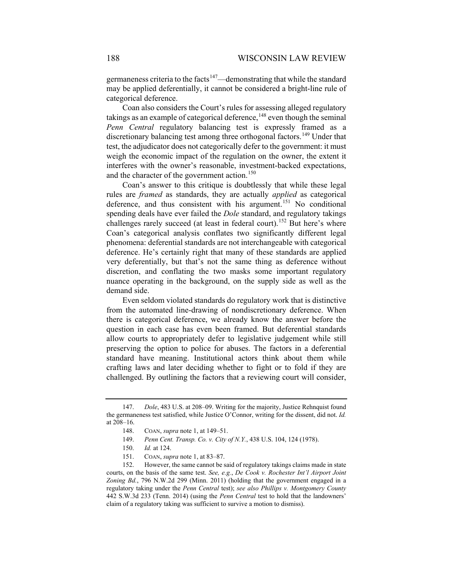germaneness criteria to the facts<sup>[147](#page-23-0)</sup>—demonstrating that while the standard may be applied deferentially, it cannot be considered a bright-line rule of categorical deference.

Coan also considers the Court's rules for assessing alleged regulatory takings as an example of categorical deference, $148$  even though the seminal *Penn Central* regulatory balancing test is expressly framed as a discretionary balancing test among three orthogonal factors.<sup>[149](#page-23-2)</sup> Under that test, the adjudicator does not categorically defer to the government: it must weigh the economic impact of the regulation on the owner, the extent it interferes with the owner's reasonable, investment-backed expectations, and the character of the government action.<sup>[150](#page-23-3)</sup>

Coan's answer to this critique is doubtlessly that while these legal rules are *framed* as standards, they are actually *applied* as categorical deference, and thus consistent with his argument.<sup>[151](#page-23-4)</sup> No conditional spending deals have ever failed the *Dole* standard, and regulatory takings challenges rarely succeed (at least in federal court).<sup>[152](#page-23-5)</sup> But here's where Coan's categorical analysis conflates two significantly different legal phenomena: deferential standards are not interchangeable with categorical deference. He's certainly right that many of these standards are applied very deferentially, but that's not the same thing as deference without discretion, and conflating the two masks some important regulatory nuance operating in the background, on the supply side as well as the demand side.

Even seldom violated standards do regulatory work that is distinctive from the automated line-drawing of nondiscretionary deference. When there is categorical deference, we already know the answer before the question in each case has even been framed. But deferential standards allow courts to appropriately defer to legislative judgement while still preserving the option to police for abuses. The factors in a deferential standard have meaning. Institutional actors think about them while crafting laws and later deciding whether to fight or to fold if they are challenged. By outlining the factors that a reviewing court will consider,

<span id="page-23-1"></span><span id="page-23-0"></span><sup>147.</sup> *Dole*, 483 U.S. at 208–09. Writing for the majority, Justice Rehnquist found the germaneness test satisfied, while Justice O'Connor, writing for the dissent, did not. *Id.*  at 208–16.

<sup>148.</sup> COAN, *supra* not[e 1,](#page-0-4) at 149–51.

<sup>149.</sup> *Penn Cent. Transp. Co. v. City of N.Y.*, 438 U.S. 104, 124 (1978).

<sup>150.</sup> *Id.* at 124.

<sup>151.</sup> COAN, *supra* not[e 1,](#page-0-4) at 83–87.

<span id="page-23-5"></span><span id="page-23-4"></span><span id="page-23-3"></span><span id="page-23-2"></span><sup>152.</sup> However, the same cannot be said of regulatory takings claims made in state courts, on the basis of the same test. *See, e.g.*, *De Cook v. Rochester Int'l Airport Joint Zoning Bd.*, 796 N.W.2d 299 (Minn. 2011) (holding that the government engaged in a regulatory taking under the *Penn Central* test); *see also Phillips v. Montgomery County* 442 S.W.3d 233 (Tenn. 2014) (using the *Penn Central* test to hold that the landowners' claim of a regulatory taking was sufficient to survive a motion to dismiss).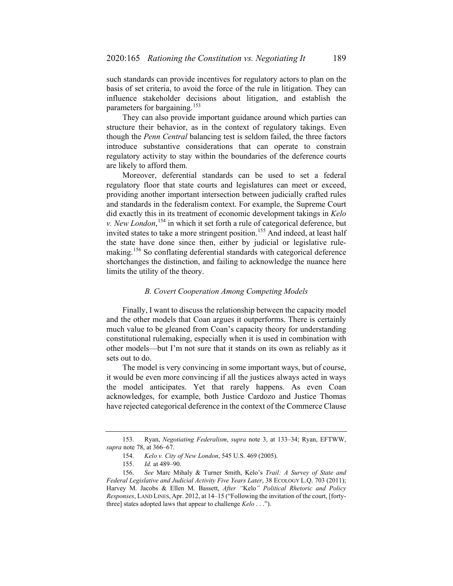such standards can provide incentives for regulatory actors to plan on the basis of set criteria, to avoid the force of the rule in litigation. They can influence stakeholder decisions about litigation, and establish the parameters for bargaining.<sup>[153](#page-24-0)</sup>

They can also provide important guidance around which parties can structure their behavior, as in the context of regulatory takings. Even though the *Penn Central* balancing test is seldom failed, the three factors introduce substantive considerations that can operate to constrain regulatory activity to stay within the boundaries of the deference courts are likely to afford them.

Moreover, deferential standards can be used to set a federal regulatory floor that state courts and legislatures can meet or exceed, providing another important intersection between judicially crafted rules and standards in the federalism context. For example, the Supreme Court did exactly this in its treatment of economic development takings in *Kelo v. New London*, [154](#page-24-1) in which it set forth a rule of categorical deference, but invited states to take a more stringent position.<sup>[155](#page-24-2)</sup> And indeed, at least half the state have done since then, either by judicial or legislative rule-making.<sup>[156](#page-24-3)</sup> So conflating deferential standards with categorical deference shortchanges the distinction, and failing to acknowledge the nuance here limits the utility of the theory.

#### *B. Covert Cooperation Among Competing Models*

Finally, I want to discuss the relationship between the capacity model and the other models that Coan argues it outperforms. There is certainly much value to be gleaned from Coan's capacity theory for understanding constitutional rulemaking, especially when it is used in combination with other models—but I'm not sure that it stands on its own as reliably as it sets out to do.

The model is very convincing in some important ways, but of course, it would be even more convincing if all the justices always acted in ways the model anticipates. Yet that rarely happens. As even Coan acknowledges, for example, both Justice Cardozo and Justice Thomas have rejected categorical deference in the context of the Commerce Clause

<span id="page-24-1"></span><span id="page-24-0"></span><sup>153.</sup> Ryan, *Negotiating Federalism*, *supra* note [3,](#page-1-9) at 133–34; Ryan, EFTWW, *supra* not[e 78,](#page-12-0) at 366–67.

<sup>154.</sup> *Kelo v. City of New London*, 545 U.S. 469 (2005).

<sup>155.</sup> *Id.* at 489–90.

<span id="page-24-3"></span><span id="page-24-2"></span><sup>156.</sup> *See* Marc Mihaly & Turner Smith, Kelo's *Trail: A Survey of State and Federal Legislative and Judicial Activity Five Years Later*, 38 ECOLOGY L.Q. 703 (2011); Harvey M. Jacobs & Ellen M. Bassett, *After "*Kelo*" Political Rhetoric and Policy Responses*, LAND LINES, Apr. 2012, at 14–15 ("Following the invitation of the court, [fortythree] states adopted laws that appear to challenge *Kelo* . . .").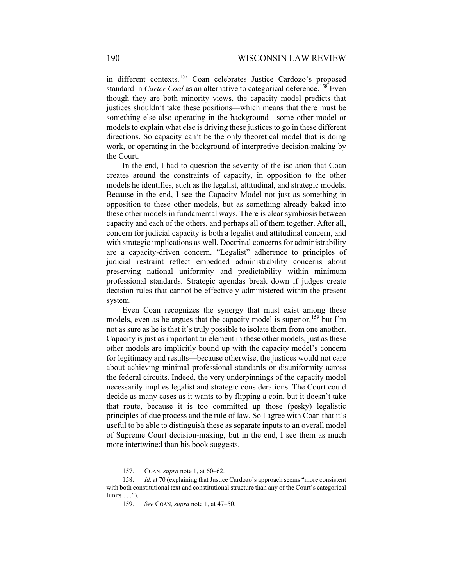in different contexts.<sup>[157](#page-25-0)</sup> Coan celebrates Justice Cardozo's proposed standard in *Carter Coal* as an alternative to categorical deference.<sup>[158](#page-25-1)</sup> Even though they are both minority views, the capacity model predicts that justices shouldn't take these positions—which means that there must be something else also operating in the background—some other model or models to explain what else is driving these justices to go in these different directions. So capacity can't be the only theoretical model that is doing work, or operating in the background of interpretive decision-making by the Court.

In the end, I had to question the severity of the isolation that Coan creates around the constraints of capacity, in opposition to the other models he identifies, such as the legalist, attitudinal, and strategic models. Because in the end, I see the Capacity Model not just as something in opposition to these other models, but as something already baked into these other models in fundamental ways. There is clear symbiosis between capacity and each of the others, and perhaps all of them together. After all, concern for judicial capacity is both a legalist and attitudinal concern, and with strategic implications as well. Doctrinal concerns for administrability are a capacity-driven concern. "Legalist" adherence to principles of judicial restraint reflect embedded administrability concerns about preserving national uniformity and predictability within minimum professional standards. Strategic agendas break down if judges create decision rules that cannot be effectively administered within the present system.

Even Coan recognizes the synergy that must exist among these models, even as he argues that the capacity model is superior,<sup>[159](#page-25-2)</sup> but I'm not as sure as he is that it's truly possible to isolate them from one another. Capacity is just as important an element in these other models, just as these other models are implicitly bound up with the capacity model's concern for legitimacy and results—because otherwise, the justices would not care about achieving minimal professional standards or disuniformity across the federal circuits. Indeed, the very underpinnings of the capacity model necessarily implies legalist and strategic considerations. The Court could decide as many cases as it wants to by flipping a coin, but it doesn't take that route, because it is too committed up those (pesky) legalistic principles of due process and the rule of law. So I agree with Coan that it's useful to be able to distinguish these as separate inputs to an overall model of Supreme Court decision-making, but in the end, I see them as much more intertwined than his book suggests.

<sup>157.</sup> COAN, *supra* not[e 1,](#page-0-4) at 60–62.

<span id="page-25-2"></span><span id="page-25-1"></span><span id="page-25-0"></span><sup>158.</sup> *Id.* at 70 (explaining that Justice Cardozo's approach seems "more consistent with both constitutional text and constitutional structure than any of the Court's categorical limits . . .").

<sup>159.</sup> *See* COAN, *supra* note [1,](#page-0-4) at 47–50.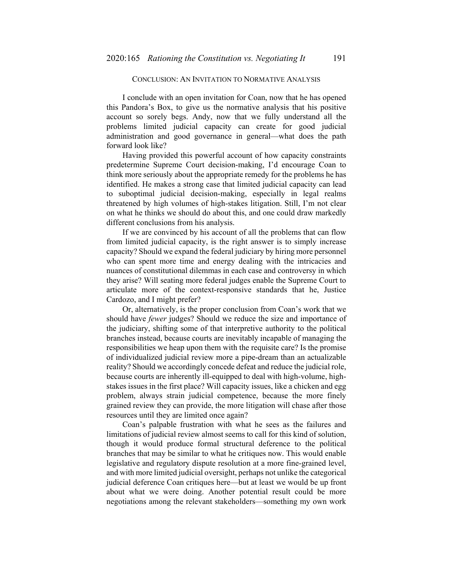# CONCLUSION: AN INVITATION TO NORMATIVE ANALYSIS

I conclude with an open invitation for Coan, now that he has opened this Pandora's Box, to give us the normative analysis that his positive account so sorely begs. Andy, now that we fully understand all the problems limited judicial capacity can create for good judicial administration and good governance in general—what does the path forward look like?

Having provided this powerful account of how capacity constraints predetermine Supreme Court decision-making, I'd encourage Coan to think more seriously about the appropriate remedy for the problems he has identified. He makes a strong case that limited judicial capacity can lead to suboptimal judicial decision-making, especially in legal realms threatened by high volumes of high-stakes litigation. Still, I'm not clear on what he thinks we should do about this, and one could draw markedly different conclusions from his analysis.

If we are convinced by his account of all the problems that can flow from limited judicial capacity, is the right answer is to simply increase capacity? Should we expand the federal judiciary by hiring more personnel who can spent more time and energy dealing with the intricacies and nuances of constitutional dilemmas in each case and controversy in which they arise? Will seating more federal judges enable the Supreme Court to articulate more of the context-responsive standards that he, Justice Cardozo, and I might prefer?

Or, alternatively, is the proper conclusion from Coan's work that we should have *fewer* judges? Should we reduce the size and importance of the judiciary, shifting some of that interpretive authority to the political branches instead, because courts are inevitably incapable of managing the responsibilities we heap upon them with the requisite care? Is the promise of individualized judicial review more a pipe-dream than an actualizable reality? Should we accordingly concede defeat and reduce the judicial role, because courts are inherently ill-equipped to deal with high-volume, highstakes issues in the first place? Will capacity issues, like a chicken and egg problem, always strain judicial competence, because the more finely grained review they can provide, the more litigation will chase after those resources until they are limited once again?

Coan's palpable frustration with what he sees as the failures and limitations of judicial review almost seems to call for this kind of solution, though it would produce formal structural deference to the political branches that may be similar to what he critiques now. This would enable legislative and regulatory dispute resolution at a more fine-grained level, and with more limited judicial oversight, perhaps not unlike the categorical judicial deference Coan critiques here—but at least we would be up front about what we were doing. Another potential result could be more negotiations among the relevant stakeholders—something my own work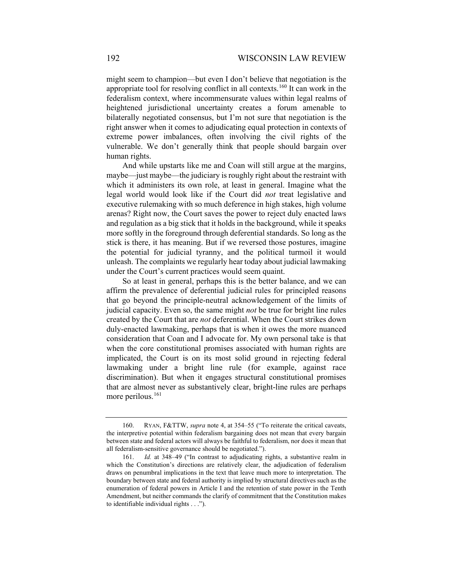might seem to champion—but even I don't believe that negotiation is the appropriate tool for resolving conflict in all contexts.<sup>[160](#page-27-0)</sup> It can work in the federalism context, where incommensurate values within legal realms of heightened jurisdictional uncertainty creates a forum amenable to bilaterally negotiated consensus, but I'm not sure that negotiation is the right answer when it comes to adjudicating equal protection in contexts of extreme power imbalances, often involving the civil rights of the vulnerable. We don't generally think that people should bargain over human rights.

And while upstarts like me and Coan will still argue at the margins, maybe—just maybe—the judiciary is roughly right about the restraint with which it administers its own role, at least in general. Imagine what the legal world would look like if the Court did *not* treat legislative and executive rulemaking with so much deference in high stakes, high volume arenas? Right now, the Court saves the power to reject duly enacted laws and regulation as a big stick that it holds in the background, while it speaks more softly in the foreground through deferential standards. So long as the stick is there, it has meaning. But if we reversed those postures, imagine the potential for judicial tyranny, and the political turmoil it would unleash. The complaints we regularly hear today about judicial lawmaking under the Court's current practices would seem quaint.

So at least in general, perhaps this is the better balance, and we can affirm the prevalence of deferential judicial rules for principled reasons that go beyond the principle-neutral acknowledgement of the limits of judicial capacity. Even so, the same might *not* be true for bright line rules created by the Court that are *not* deferential. When the Court strikes down duly-enacted lawmaking, perhaps that is when it owes the more nuanced consideration that Coan and I advocate for. My own personal take is that when the core constitutional promises associated with human rights are implicated, the Court is on its most solid ground in rejecting federal lawmaking under a bright line rule (for example, against race discrimination). But when it engages structural constitutional promises that are almost never as substantively clear, bright-line rules are perhaps more perilous.<sup>[161](#page-27-1)</sup>

<span id="page-27-0"></span><sup>160.</sup> RYAN, F&TTW, *supra* note [4,](#page-1-0) at 354–55 ("To reiterate the critical caveats, the interpretive potential within federalism bargaining does not mean that every bargain between state and federal actors will always be faithful to federalism, nor does it mean that all federalism-sensitive governance should be negotiated.").

<span id="page-27-1"></span><sup>161.</sup> *Id.* at 348–49 ("In contrast to adjudicating rights, a substantive realm in which the Constitution's directions are relatively clear, the adjudication of federalism draws on penumbral implications in the text that leave much more to interpretation. The boundary between state and federal authority is implied by structural directives such as the enumeration of federal powers in Article I and the retention of state power in the Tenth Amendment, but neither commands the clarify of commitment that the Constitution makes to identifiable individual rights . . .").